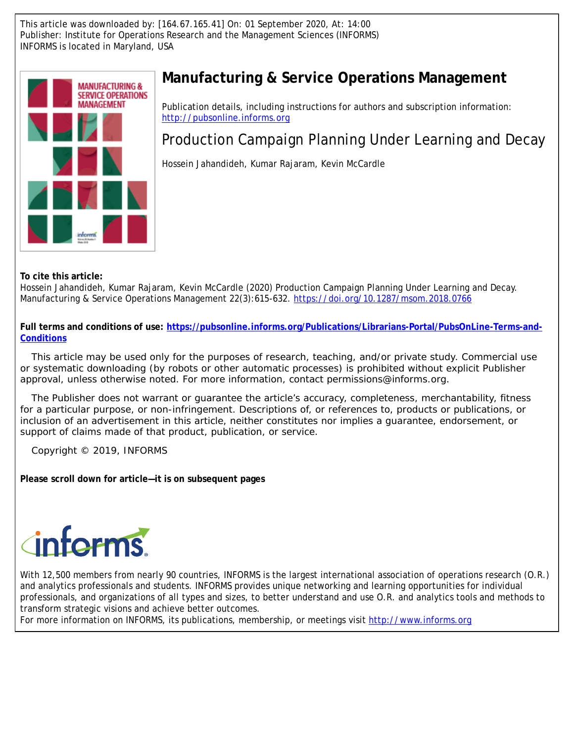This article was downloaded by: [164.67.165.41] On: 01 September 2020, At: 14:00 Publisher: Institute for Operations Research and the Management Sciences (INFORMS) INFORMS is located in Maryland, USA



# **Manufacturing & Service Operations Management**

Publication details, including instructions for authors and subscription information: <http://pubsonline.informs.org>

# Production Campaign Planning Under Learning and Decay

Hossein Jahandideh, Kumar Rajaram, Kevin McCardle

**To cite this article:**

Hossein Jahandideh, Kumar Rajaram, Kevin McCardle (2020) Production Campaign Planning Under Learning and Decay. Manufacturing & Service Operations Management 22(3):615-632. <https://doi.org/10.1287/msom.2018.0766>

**Full terms and conditions of use: [https://pubsonline.informs.org/Publications/Librarians-Portal/PubsOnLine-Terms-and-](https://pubsonline.informs.org/Publications/Librarians-Portal/PubsOnLine-Terms-and-Conditions)[Conditions](https://pubsonline.informs.org/Publications/Librarians-Portal/PubsOnLine-Terms-and-Conditions)**

This article may be used only for the purposes of research, teaching, and/or private study. Commercial use or systematic downloading (by robots or other automatic processes) is prohibited without explicit Publisher approval, unless otherwise noted. For more information, contact permissions@informs.org.

The Publisher does not warrant or guarantee the article's accuracy, completeness, merchantability, fitness for a particular purpose, or non-infringement. Descriptions of, or references to, products or publications, or inclusion of an advertisement in this article, neither constitutes nor implies a guarantee, endorsement, or support of claims made of that product, publication, or service.

Copyright © 2019, INFORMS

**Please scroll down for article—it is on subsequent pages**



With 12,500 members from nearly 90 countries, INFORMS is the largest international association of operations research (O.R.) and analytics professionals and students. INFORMS provides unique networking and learning opportunities for individual professionals, and organizations of all types and sizes, to better understand and use O.R. and analytics tools and methods to transform strategic visions and achieve better outcomes.

For more information on INFORMS, its publications, membership, or meetings visit <http://www.informs.org>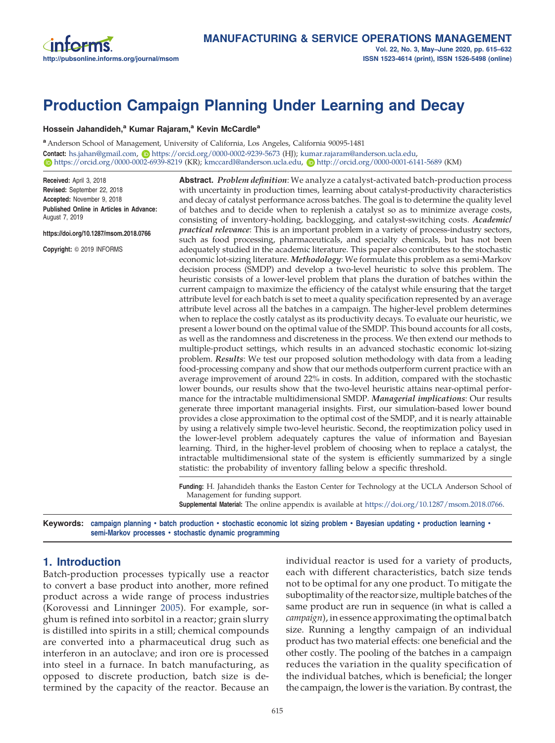

# Production Campaign Planning Under Learning and Decay

Hossein Jahandideh,<sup>a</sup> Kumar Rajaram,<sup>a</sup> Kevin McCardle<sup>a</sup>

<sup>a</sup> Anderson School of Management, University of California, Los Angeles, California 90095-1481 Contact: [hs.jahan@gmail.com,](mailto:hs.jahan@gmail.com) D<https://orcid.org/0000-0002-9239-5673> (HJ); [kumar.rajaram@anderson.ucla.edu](mailto:kumar.rajaram@anderson.ucla.edu), <https://orcid.org/0000-0002-6939-8219> (KR); [kmccardl@anderson.ucla.edu,](mailto:kmccardl@anderson.ucla.edu) <http://orcid.org/0000-0001-6141-5689> (KM)

Received: April 3, 2018 Revised: September 22, 2018 Accepted: November 9, 2018 Published Online in Articles in Advance: August 7, 2019

<https://doi.org/10.1287/msom.2018.0766>

Copyright: © 2019 INFORMS

Abstract. Problem definition: We analyze a catalyst-activated batch-production process with uncertainty in production times, learning about catalyst-productivity characteristics and decay of catalyst performance across batches. The goal is to determine the quality level of batches and to decide when to replenish a catalyst so as to minimize average costs, consisting of inventory-holding, backlogging, and catalyst-switching costs. Academic/ practical relevance: This is an important problem in a variety of process-industry sectors, such as food processing, pharmaceuticals, and specialty chemicals, but has not been adequately studied in the academic literature. This paper also contributes to the stochastic economic lot-sizing literature. Methodology: We formulate this problem as a semi-Markov decision process (SMDP) and develop a two-level heuristic to solve this problem. The heuristic consists of a lower-level problem that plans the duration of batches within the current campaign to maximize the efficiency of the catalyst while ensuring that the target attribute level for each batch is set to meet a quality specification represented by an average attribute level across all the batches in a campaign. The higher-level problem determines when to replace the costly catalyst as its productivity decays. To evaluate our heuristic, we present a lower bound on the optimal value of the SMDP. This bound accounts for all costs, as well as the randomness and discreteness in the process. We then extend our methods to multiple-product settings, which results in an advanced stochastic economic lot-sizing problem. Results: We test our proposed solution methodology with data from a leading food-processing company and show that our methods outperform current practice with an average improvement of around 22% in costs. In addition, compared with the stochastic lower bounds, our results show that the two-level heuristic attains near-optimal performance for the intractable multidimensional SMDP. Managerial implications: Our results generate three important managerial insights. First, our simulation-based lower bound provides a close approximation to the optimal cost of the SMDP, and it is nearly attainable by using a relatively simple two-level heuristic. Second, the reoptimization policy used in the lower-level problem adequately captures the value of information and Bayesian learning. Third, in the higher-level problem of choosing when to replace a catalyst, the intractable multidimensional state of the system is efficiently summarized by a single statistic: the probability of inventory falling below a specific threshold.

Funding: H. Jahandideh thanks the Easton Center for Technology at the UCLA Anderson School of Management for funding support.

Supplemental Material: The online appendix is available at [https://doi.org/10.1287/msom.2018.0766.](https://doi.org/10.1287/msom.2018.0766)

Keywords: campaign planning • batch production • stochastic economic lot sizing problem • Bayesian updating • production learning • semi-Markov processes • stochastic dynamic programming

## 1. Introduction

Batch-production processes typically use a reactor to convert a base product into another, more refined product across a wide range of process industries (Korovessi and Linninger [2005](#page-18-0)). For example, sorghum is refined into sorbitol in a reactor; grain slurry is distilled into spirits in a still; chemical compounds are converted into a pharmaceutical drug such as interferon in an autoclave; and iron ore is processed into steel in a furnace. In batch manufacturing, as opposed to discrete production, batch size is determined by the capacity of the reactor. Because an

individual reactor is used for a variety of products, each with different characteristics, batch size tends not to be optimal for any one product. To mitigate the suboptimality of the reactor size, multiple batches of the same product are run in sequence (in what is called a campaign), in essence approximating the optimal batch size. Running a lengthy campaign of an individual product has two material effects: one beneficial and the other costly. The pooling of the batches in a campaign reduces the variation in the quality specification of the individual batches, which is beneficial; the longer the campaign, the lower is the variation. By contrast, the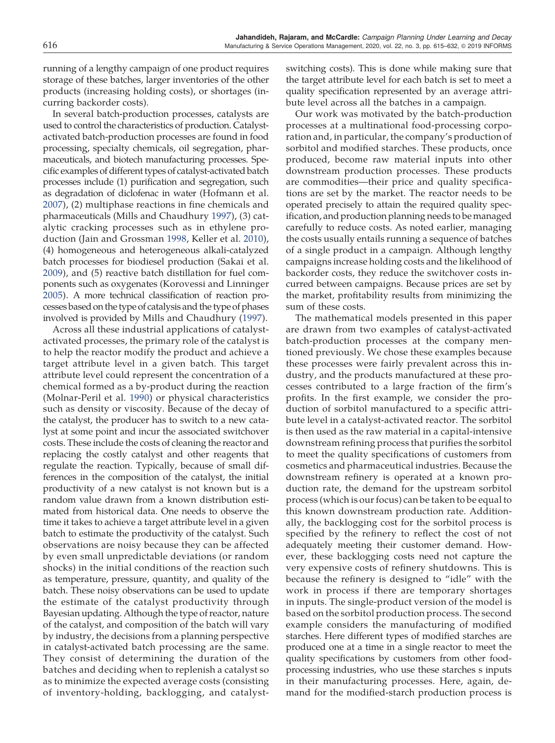running of a lengthy campaign of one product requires storage of these batches, larger inventories of the other products (increasing holding costs), or shortages (incurring backorder costs).

In several batch-production processes, catalysts are used to control the characteristics of production. Catalystactivated batch-production processes are found in food processing, specialty chemicals, oil segregation, pharmaceuticals, and biotech manufacturing processes. Specific examples of different types of catalyst-activated batch processes include (1) purification and segregation, such as degradation of diclofenac in water (Hofmann et al. [2007](#page-18-1)), (2) multiphase reactions in fine chemicals and pharmaceuticals (Mills and Chaudhury [1997\)](#page-18-2), (3) catalytic cracking processes such as in ethylene production (Jain and Grossman [1998,](#page-18-3) Keller et al. [2010\)](#page-18-4), (4) homogeneous and heterogeneous alkali-catalyzed batch processes for biodiesel production (Sakai et al. [2009](#page-18-5)), and (5) reactive batch distillation for fuel components such as oxygenates (Korovessi and Linninger [2005](#page-18-0)). A more technical classification of reaction processes based on the type of catalysis and the type of phases involved is provided by Mills and Chaudhury ([1997](#page-18-2)).

Across all these industrial applications of catalystactivated processes, the primary role of the catalyst is to help the reactor modify the product and achieve a target attribute level in a given batch. This target attribute level could represent the concentration of a chemical formed as a by-product during the reaction (Molnar-Peril et al. [1990](#page-18-6)) or physical characteristics such as density or viscosity. Because of the decay of the catalyst, the producer has to switch to a new catalyst at some point and incur the associated switchover costs. These include the costs of cleaning the reactor and replacing the costly catalyst and other reagents that regulate the reaction. Typically, because of small differences in the composition of the catalyst, the initial productivity of a new catalyst is not known but is a random value drawn from a known distribution estimated from historical data. One needs to observe the time it takes to achieve a target attribute level in a given batch to estimate the productivity of the catalyst. Such observations are noisy because they can be affected by even small unpredictable deviations (or random shocks) in the initial conditions of the reaction such as temperature, pressure, quantity, and quality of the batch. These noisy observations can be used to update the estimate of the catalyst productivity through Bayesian updating. Although the type of reactor, nature of the catalyst, and composition of the batch will vary by industry, the decisions from a planning perspective in catalyst-activated batch processing are the same. They consist of determining the duration of the batches and deciding when to replenish a catalyst so as to minimize the expected average costs (consisting of inventory-holding, backlogging, and catalyst-

switching costs). This is done while making sure that the target attribute level for each batch is set to meet a quality specification represented by an average attribute level across all the batches in a campaign.

Our work was motivated by the batch-production processes at a multinational food-processing corporation and, in particular, the company's production of sorbitol and modified starches. These products, once produced, become raw material inputs into other downstream production processes. These products are commodities—their price and quality specifications are set by the market. The reactor needs to be operated precisely to attain the required quality specification, and production planning needs to be managed carefully to reduce costs. As noted earlier, managing the costs usually entails running a sequence of batches of a single product in a campaign. Although lengthy campaigns increase holding costs and the likelihood of backorder costs, they reduce the switchover costs incurred between campaigns. Because prices are set by the market, profitability results from minimizing the sum of these costs.

The mathematical models presented in this paper are drawn from two examples of catalyst-activated batch-production processes at the company mentioned previously. We chose these examples because these processes were fairly prevalent across this industry, and the products manufactured at these processes contributed to a large fraction of the firm's profits. In the first example, we consider the production of sorbitol manufactured to a specific attribute level in a catalyst-activated reactor. The sorbitol is then used as the raw material in a capital-intensive downstream refining process that purifies the sorbitol to meet the quality specifications of customers from cosmetics and pharmaceutical industries. Because the downstream refinery is operated at a known production rate, the demand for the upstream sorbitol process (which is our focus) can be taken to be equal to this known downstream production rate. Additionally, the backlogging cost for the sorbitol process is specified by the refinery to reflect the cost of not adequately meeting their customer demand. However, these backlogging costs need not capture the very expensive costs of refinery shutdowns. This is because the refinery is designed to "idle" with the work in process if there are temporary shortages in inputs. The single-product version of the model is based on the sorbitol production process. The second example considers the manufacturing of modified starches. Here different types of modified starches are produced one at a time in a single reactor to meet the quality specifications by customers from other foodprocessing industries, who use these starches s inputs in their manufacturing processes. Here, again, demand for the modified-starch production process is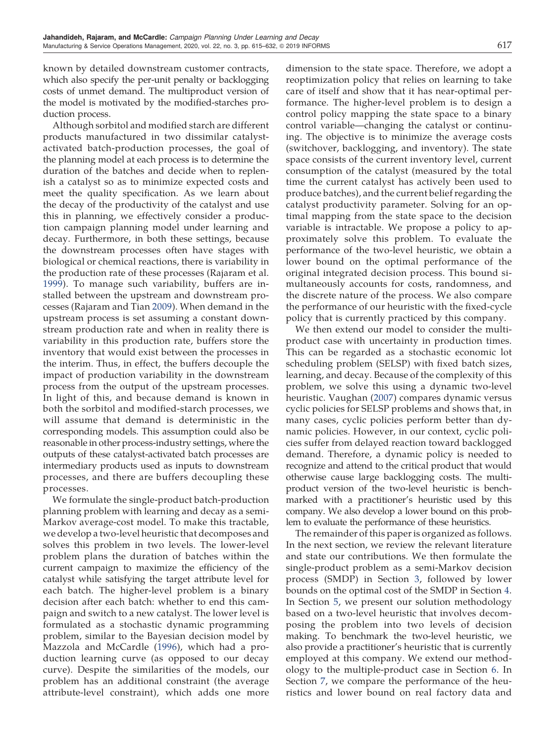known by detailed downstream customer contracts, which also specify the per-unit penalty or backlogging costs of unmet demand. The multiproduct version of the model is motivated by the modified-starches production process.

Although sorbitol and modified starch are different products manufactured in two dissimilar catalystactivated batch-production processes, the goal of the planning model at each process is to determine the duration of the batches and decide when to replenish a catalyst so as to minimize expected costs and meet the quality specification. As we learn about the decay of the productivity of the catalyst and use this in planning, we effectively consider a production campaign planning model under learning and decay. Furthermore, in both these settings, because the downstream processes often have stages with biological or chemical reactions, there is variability in the production rate of these processes (Rajaram et al. [1999](#page-18-7)). To manage such variability, buffers are installed between the upstream and downstream processes (Rajaram and Tian [2009](#page-18-8)). When demand in the upstream process is set assuming a constant downstream production rate and when in reality there is variability in this production rate, buffers store the inventory that would exist between the processes in the interim. Thus, in effect, the buffers decouple the impact of production variability in the downstream process from the output of the upstream processes. In light of this, and because demand is known in both the sorbitol and modified-starch processes, we will assume that demand is deterministic in the corresponding models. This assumption could also be reasonable in other process-industry settings, where the outputs of these catalyst-activated batch processes are intermediary products used as inputs to downstream processes, and there are buffers decoupling these processes.

We formulate the single-product batch-production planning problem with learning and decay as a semi-Markov average-cost model. To make this tractable, we develop a two-level heuristic that decomposes and solves this problem in two levels. The lower-level problem plans the duration of batches within the current campaign to maximize the efficiency of the catalyst while satisfying the target attribute level for each batch. The higher-level problem is a binary decision after each batch: whether to end this campaign and switch to a new catalyst. The lower level is formulated as a stochastic dynamic programming problem, similar to the Bayesian decision model by Mazzola and McCardle ([1996\)](#page-18-9), which had a production learning curve (as opposed to our decay curve). Despite the similarities of the models, our problem has an additional constraint (the average attribute-level constraint), which adds one more dimension to the state space. Therefore, we adopt a reoptimization policy that relies on learning to take care of itself and show that it has near-optimal performance. The higher-level problem is to design a control policy mapping the state space to a binary control variable—changing the catalyst or continuing. The objective is to minimize the average costs (switchover, backlogging, and inventory). The state space consists of the current inventory level, current consumption of the catalyst (measured by the total time the current catalyst has actively been used to produce batches), and the current belief regarding the catalyst productivity parameter. Solving for an optimal mapping from the state space to the decision variable is intractable. We propose a policy to approximately solve this problem. To evaluate the performance of the two-level heuristic, we obtain a lower bound on the optimal performance of the original integrated decision process. This bound simultaneously accounts for costs, randomness, and the discrete nature of the process. We also compare the performance of our heuristic with the fixed-cycle policy that is currently practiced by this company.

We then extend our model to consider the multiproduct case with uncertainty in production times. This can be regarded as a stochastic economic lot scheduling problem (SELSP) with fixed batch sizes, learning, and decay. Because of the complexity of this problem, we solve this using a dynamic two-level heuristic. Vaughan ([2007\)](#page-18-10) compares dynamic versus cyclic policies for SELSP problems and shows that, in many cases, cyclic policies perform better than dynamic policies. However, in our context, cyclic policies suffer from delayed reaction toward backlogged demand. Therefore, a dynamic policy is needed to recognize and attend to the critical product that would otherwise cause large backlogging costs. The multiproduct version of the two-level heuristic is benchmarked with a practitioner's heuristic used by this company. We also develop a lower bound on this problem to evaluate the performance of these heuristics.

The remainder of this paper is organized as follows. In the next section, we review the relevant literature and state our contributions. We then formulate the single-product problem as a semi-Markov decision process (SMDP) in Section [3](#page-4-0), followed by lower bounds on the optimal cost of the SMDP in Section [4](#page-7-0). In Section [5,](#page-8-0) we present our solution methodology based on a two-level heuristic that involves decomposing the problem into two levels of decision making. To benchmark the two-level heuristic, we also provide a practitioner's heuristic that is currently employed at this company. We extend our methodology to the multiple-product case in Section [6](#page-12-0). In Section [7](#page-14-0), we compare the performance of the heuristics and lower bound on real factory data and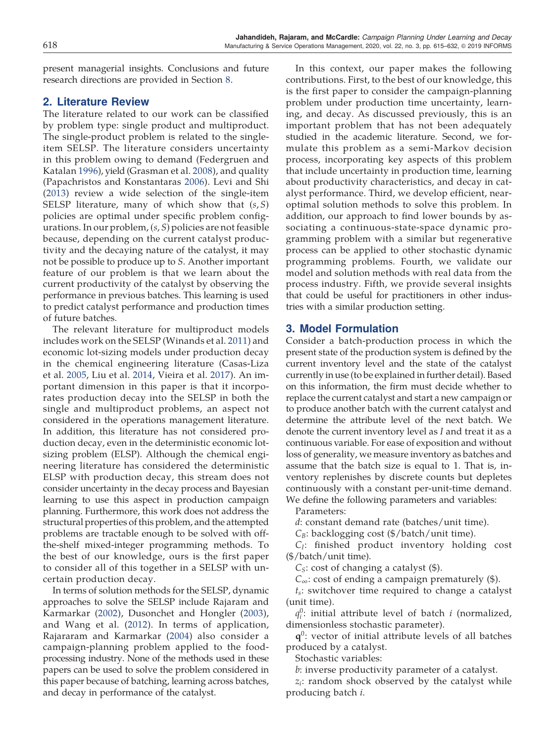present managerial insights. Conclusions and future research directions are provided in Section [8](#page-17-0).

## 2. Literature Review

The literature related to our work can be classified by problem type: single product and multiproduct. The single-product problem is related to the singleitem SELSP. The literature considers uncertainty in this problem owing to demand (Federgruen and Katalan [1996](#page-18-11)), yield (Grasman et al. [2008](#page-18-12)), and quality (Papachristos and Konstantaras [2006](#page-18-13)). Levi and Shi ([2013\)](#page-18-14) review a wide selection of the single-item SELSP literature, many of which show that  $(s, S)$ policies are optimal under specific problem configurations. In our problem,  $(s, S)$  policies are not feasible because, depending on the current catalyst productivity and the decaying nature of the catalyst, it may not be possible to produce up to S. Another important feature of our problem is that we learn about the current productivity of the catalyst by observing the performance in previous batches. This learning is used to predict catalyst performance and production times of future batches.

The relevant literature for multiproduct models includes work on the SELSP (Winands et al. [2011](#page-18-15)) and economic lot-sizing models under production decay in the chemical engineering literature (Casas-Liza et al. [2005](#page-18-16), Liu et al. [2014,](#page-18-17) Vieira et al. [2017\)](#page-18-18). An important dimension in this paper is that it incorporates production decay into the SELSP in both the single and multiproduct problems, an aspect not considered in the operations management literature. In addition, this literature has not considered production decay, even in the deterministic economic lotsizing problem (ELSP). Although the chemical engineering literature has considered the deterministic ELSP with production decay, this stream does not consider uncertainty in the decay process and Bayesian learning to use this aspect in production campaign planning. Furthermore, this work does not address the structural properties of this problem, and the attempted problems are tractable enough to be solved with offthe-shelf mixed-integer programming methods. To the best of our knowledge, ours is the first paper to consider all of this together in a SELSP with uncertain production decay.

In terms of solution methods for the SELSP, dynamic approaches to solve the SELSP include Rajaram and Karmarkar [\(2002](#page-18-19)), Dusonchet and Hongler ([2003\)](#page-18-20), and Wang et al. ([2012\)](#page-18-21). In terms of application, Rajararam and Karmarkar ([2004\)](#page-18-22) also consider a campaign-planning problem applied to the foodprocessing industry. None of the methods used in these papers can be used to solve the problem considered in this paper because of batching, learning across batches, and decay in performance of the catalyst.

In this context, our paper makes the following contributions. First, to the best of our knowledge, this is the first paper to consider the campaign-planning problem under production time uncertainty, learning, and decay. As discussed previously, this is an important problem that has not been adequately studied in the academic literature. Second, we formulate this problem as a semi-Markov decision process, incorporating key aspects of this problem that include uncertainty in production time, learning about productivity characteristics, and decay in catalyst performance. Third, we develop efficient, nearoptimal solution methods to solve this problem. In addition, our approach to find lower bounds by associating a continuous-state-space dynamic programming problem with a similar but regenerative process can be applied to other stochastic dynamic programming problems. Fourth, we validate our model and solution methods with real data from the process industry. Fifth, we provide several insights that could be useful for practitioners in other industries with a similar production setting.

### <span id="page-4-0"></span>3. Model Formulation

Consider a batch-production process in which the present state of the production system is defined by the current inventory level and the state of the catalyst currently in use (to be explained in further detail). Based on this information, the firm must decide whether to replace the current catalyst and start a new campaign or to produce another batch with the current catalyst and determine the attribute level of the next batch. We denote the current inventory level as I and treat it as a continuous variable. For ease of exposition and without loss of generality, we measure inventory as batches and assume that the batch size is equal to 1. That is, inventory replenishes by discrete counts but depletes continuously with a constant per-unit-time demand. We define the following parameters and variables:

Parameters:

d: constant demand rate (batches/unit time).

 $C_B$ : backlogging cost (\$/batch/unit time).

 $C_I$ : finished product inventory holding cost (\$/batch/unit time).

 $C_s$ : cost of changing a catalyst (\$).

 $C_{\infty}$ : cost of ending a campaign prematurely (\$).

 $t_s$ : switchover time required to change a catalyst (unit time).

 $q_i^0$ : initial attribute level of batch *i* (normalized, dimensionless stochastic parameter).

 $q^0$ : vector of initial attribute levels of all batches produced by a catalyst.

Stochastic variables:

b: inverse productivity parameter of a catalyst.

 $z_i$ : random shock observed by the catalyst while producing batch i.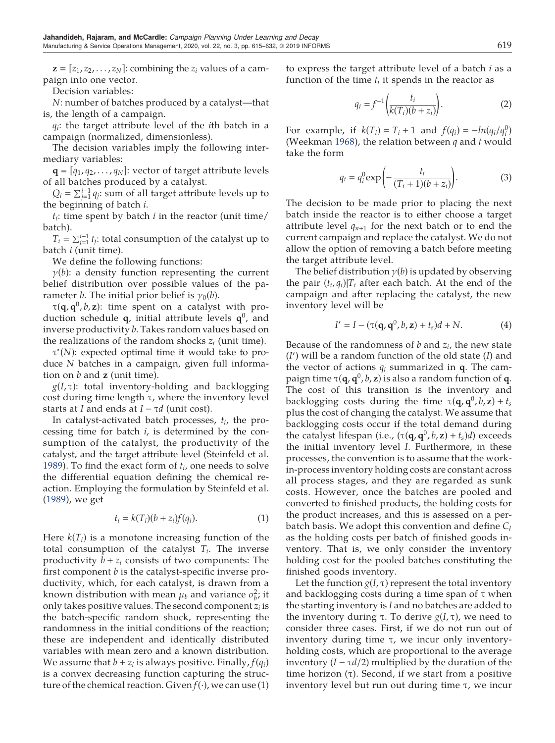$\mathbf{z} = [z_1, z_2, \dots, z_N]$ : combining the  $z_i$  values of a campaign into one vector.

Decision variables:

N: number of batches produced by a catalyst—that is, the length of a campaign.

 $q_i$ : the target attribute level of the *i*th batch in a campaign (normalized, dimensionless).

The decision variables imply the following intermediary variables:

 $\mathbf{q} = [q_1, q_2, \dots, q_N]$ : vector of target attribute levels of all batches produced by a catalyst.

 $Q_i = \sum_{j=1}^{i-1} q_j$ : sum of all target attribute levels up to the beginning of batch i.

 $t_i$ : time spent by batch *i* in the reactor (unit time/ batch).

 $T_i = \sum_{j=1}^{i-1} t_j$ : total consumption of the catalyst up to batch i (unit time).

We define the following functions:

 $\gamma(b)$ : a density function representing the current belief distribution over possible values of the parameter *b*. The initial prior belief is  $\gamma_0(b)$ .

 $\tau(\mathbf{q}, \mathbf{q}^0, b, \mathbf{z})$ : time spent on a catalyst with production schedule  $q$ , initial attribute levels  $q^0$ , and inverse productivity b. Takes random values based on the realizations of the random shocks  $z_i$  (unit time).

τ∗ (N): expected optimal time it would take to produce N batches in a campaign, given full information on  $b$  and  $z$  (unit time).

 $g(I, \tau)$ : total inventory-holding and backlogging cost during time length τ, where the inventory level starts at I and ends at  $I - \tau d$  (unit cost).

In catalyst-activated batch processes,  $t_i$ , the processing time for batch  $i$ , is determined by the consumption of the catalyst, the productivity of the catalyst, and the target attribute level (Steinfeld et al. [1989](#page-18-23)). To find the exact form of  $t_i$ , one needs to solve the differential equation defining the chemical reaction. Employing the formulation by Steinfeld et al. ([1989\)](#page-18-23), we get

$$
t_i = k(T_i)(b + z_i)f(q_i). \tag{1}
$$

<span id="page-5-0"></span>Here  $k(T_i)$  is a monotone increasing function of the total consumption of the catalyst  $T_i$ . The inverse productivity  $b + z_i$  consists of two components: The first component  $b$  is the catalyst-specific inverse productivity, which, for each catalyst, is drawn from a known distribution with mean  $\mu_b$  and variance  $\sigma_b^2$ ; it only takes positive values. The second component  $z_i$  is the batch-specific random shock, representing the randomness in the initial conditions of the reaction; these are independent and identically distributed variables with mean zero and a known distribution. We assume that  $b + z_i$  is always positive. Finally,  $f(q_i)$ is a convex decreasing function capturing the structure of the chemical reaction. Given  $f(\cdot)$ , we can use ([1](#page-5-0)) to express the target attribute level of a batch  $i$  as a function of the time  $t_i$  it spends in the reactor as

$$
q_i = f^{-1}\left(\frac{t_i}{k(T_i)(b+z_i)}\right).
$$
 (2)

For example, if  $k(T_i) = T_i + 1$  and  $f(q_i) = -ln(q_i/q_i^0)$ (Weekman [1968\)](#page-18-24), the relation between  $q$  and  $t$  would take the form

$$
q_i = q_i^0 \exp\left(-\frac{t_i}{(T_i+1)(b+z_i)}\right).
$$
 (3)

The decision to be made prior to placing the next batch inside the reactor is to either choose a target attribute level  $q_{n+1}$  for the next batch or to end the current campaign and replace the catalyst. We do not allow the option of removing a batch before meeting the target attribute level.

The belief distribution  $\gamma(b)$  is updated by observing the pair  $(t_i, q_i)$  *T<sub>i</sub>* after each batch. At the end of the campaign and after replacing the catalyst, the new inventory level will be

$$
I' = I - (\tau(\mathbf{q}, \mathbf{q}^0, b, \mathbf{z}) + t_s)d + N.
$$
 (4)

Because of the randomness of  $b$  and  $z_i$ , the new state (I ) will be a random function of the old state (I) and the vector of actions  $q_i$  summarized in q. The campaign time  $\tau(\mathbf{q}, \mathbf{q}^0, b, \mathbf{z})$  is also a random function of **q**. The cost of this transition is the inventory and backlogging costs during the time  $\tau(\mathbf{q}, \mathbf{q}^0, b, \mathbf{z}) + t_s$ plus the cost of changing the catalyst. We assume that backlogging costs occur if the total demand during the catalyst lifespan (i.e.,  $(\tau(\mathbf{q}, \mathbf{q}^0, b, \mathbf{z}) + t_s)d$ ) exceeds the initial inventory level I. Furthermore, in these processes, the convention is to assume that the workin-process inventory holding costs are constant across all process stages, and they are regarded as sunk costs. However, once the batches are pooled and converted to finished products, the holding costs for the product increases, and this is assessed on a perbatch basis. We adopt this convention and define  $C_I$ as the holding costs per batch of finished goods inventory. That is, we only consider the inventory holding cost for the pooled batches constituting the finished goods inventory.

Let the function  $g(I, \tau)$  represent the total inventory and backlogging costs during a time span of  $\tau$  when the starting inventory is I and no batches are added to the inventory during τ. To derive  $g(I, τ)$ , we need to consider three cases. First, if we do not run out of inventory during time τ, we incur only inventoryholding costs, which are proportional to the average inventory  $(I - \tau d/2)$  multiplied by the duration of the time horizon (τ). Second, if we start from a positive inventory level but run out during time τ, we incur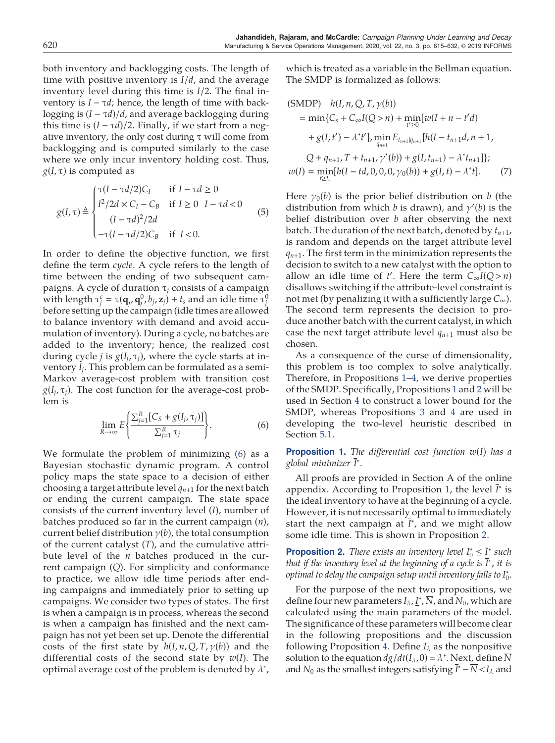both inventory and backlogging costs. The length of time with positive inventory is  $I/d$ , and the average inventory level during this time is  $I/2$ . The final inventory is  $I - \tau d$ ; hence, the length of time with backlogging is  $(I - \tau d)/d$ , and average backlogging during this time is  $(I - \tau d)/2$ . Finally, if we start from a negative inventory, the only cost during τ will come from backlogging and is computed similarly to the case where we only incur inventory holding cost. Thus,  $g(I, \tau)$  is computed as

$$
g(I, \tau) \triangleq \begin{cases} \tau(I - \tau d/2)C_I & \text{if } I - \tau d \ge 0 \\ I^2/2d \times C_I - C_B & \text{if } I \ge 0 \ I - \tau d < 0 \\ (I - \tau d)^2/2d \\ -\tau(I - \tau d/2)C_B & \text{if } I < 0. \end{cases}
$$
(5)

In order to define the objective function, we first define the term cycle. A cycle refers to the length of time between the ending of two subsequent campaigns. A cycle of duration  $\tau_i$  consists of a campaign with length  $τ_j^c = τ(q_j, q_j^0, b_j, z_j) + t_s$  and an idle time  $τ_j^0$ before setting up the campaign (idle times are allowed to balance inventory with demand and avoid accumulation of inventory). During a cycle, no batches are added to the inventory; hence, the realized cost during cycle *j* is  $g(I_j, \tau_j)$ , where the cycle starts at inventory  $I_i$ . This problem can be formulated as a semi-Markov average-cost problem with transition cost  $g(I_i, \tau_i)$ . The cost function for the average-cost problem is

$$
\lim_{R\to\infty} E\left\{ \frac{\sum_{j=1}^{R} [C_S + g(I_j, \tau_j)]}{\sum_{j=1}^{R} \tau_j} \right\}.
$$
 (6)

<span id="page-6-0"></span>We formulate the problem of minimizing ([6](#page-6-0)) as a Bayesian stochastic dynamic program. A control policy maps the state space to a decision of either choosing a target attribute level  $q_{n+1}$  for the next batch or ending the current campaign. The state space consists of the current inventory level (I), number of batches produced so far in the current campaign  $(n)$ , current belief distribution  $\gamma(b)$ , the total consumption of the current catalyst  $(T)$ , and the cumulative attribute level of the  $n$  batches produced in the current campaign (Q). For simplicity and conformance to practice, we allow idle time periods after ending campaigns and immediately prior to setting up campaigns. We consider two types of states. The first is when a campaign is in process, whereas the second is when a campaign has finished and the next campaign has not yet been set up. Denote the differential costs of the first state by  $h(I, n, Q, T, \gamma(b))$  and the differential costs of the second state by  $w(I)$ . The optimal average cost of the problem is denoted by  $\lambda^*$ ,

which is treated as a variable in the Bellman equation. The SMDP is formalized as follows:

(SMDP) 
$$
h(I, n, Q, T, \gamma(b))
$$
  
\n
$$
= \min\{C_s + C_{\infty}I(Q > n) + \min_{t' \ge 0} [w(I + n - t'd) + g(I, t') - \lambda^*t'] \min_{q_{n+1}} E_{t_{n+1}|q_{n+1}} [h(I - t_{n+1}d, n + 1, Q + q_{n+1}, T + t_{n+1}, \gamma'(b)) + g(I, t_{n+1}) - \lambda^*t_{n+1}]\};
$$
\n
$$
w(I) = \min_{t \ge t_s} [h(I - td, 0, 0, 0, \gamma_0(b)) + g(I, t) - \lambda^*t].
$$
\n(7)

Here  $\gamma_0(b)$  is the prior belief distribution on b (the distribution from which b is drawn), and  $\gamma'(b)$  is the belief distribution over  $b$  after observing the next batch. The duration of the next batch, denoted by  $t_{n+1}$ , is random and depends on the target attribute level  $q_{n+1}$ . The first term in the minimization represents the decision to switch to a new catalyst with the option to allow an idle time of t'. Here the term  $C_{\infty}I(Q>n)$ disallows switching if the attribute-level constraint is not met (by penalizing it with a sufficiently large  $C_{\infty}$ ). The second term represents the decision to produce another batch with the current catalyst, in which case the next target attribute level  $q_{n+1}$  must also be chosen.

As a consequence of the curse of dimensionality, this problem is too complex to solve analytically. Therefore, in Propositions [1](#page-6-1)–[4,](#page-7-1) we derive properties of the SMDP. Specifically, Propositions [1](#page-6-1) and [2](#page-6-2) will be used in Section [4](#page-7-0) to construct a lower bound for the SMDP, whereas Propositions [3](#page-7-2) and [4](#page-7-1) are used in developing the two-level heuristic described in Section [5.1](#page-9-0).

<span id="page-6-1"></span>**Proposition 1.** The differential cost function  $w(I)$  has a global minimizer I ∗ .

All proofs are provided in Section A of the online appendix. According to Proposition [1](#page-6-1), the level I <sup>∗</sup> is the ideal inventory to have at the beginning of a cycle. However, it is not necessarily optimal to immediately start the next campaign at  $I^*$ , and we might allow some idle time. This is shown in Proposition [2](#page-6-2).

<span id="page-6-2"></span>**Proposition 2.** There exists an inventory level  $I_0^* \leq I^*$  such that if the inventory level at the beginning of a cycle is I ∗ , it is optimal to delay the campaign setup until inventory falls to I $_{0}^{\ast}.$ 

For the purpose of the next two propositions, we define four new parameters  $I_\lambda$  ,  $\underline{I}^*$  ,  $N$  , and  $N_0$  , which are calculated using the main parameters of the model. The significance of these parameters will become clear in the following propositions and the discussion following Proposition [4.](#page-7-1) Define  $I_\lambda$  as the nonpositive solution to the equation  $dg/dt(I_\lambda, 0) = \lambda^*$ . Next, define N and  $N_0$  as the smallest integers satisfying  $I^* - N < I_\lambda$  and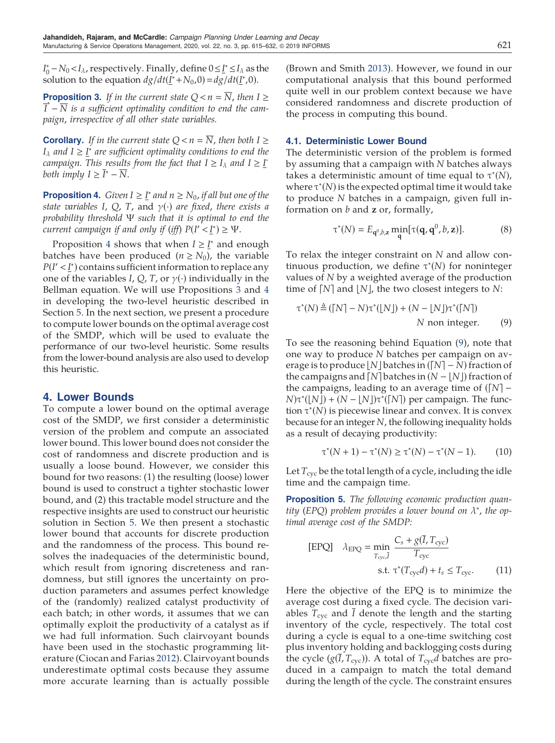$I_0^*$  –  $N_0$  <  $I_\lambda$ , respectively. Finally, define  $0 \leq I^* \leq I_\lambda$  as the solution to the equation  $dg/dt(\underline{I}^*+N_0,0)=dg/dt(\underline{I}^*,0).$ 

<span id="page-7-2"></span>**Proposition 3.** If in the current state  $Q < n = N$ , then  $I \geq$  $\vec{I}$   $\bar{\wedge}$  is a sufficient optimality condition to end the campaign, irrespective of all other state variables.

**Corollary.** If in the current state  $Q < n = \overline{N}$ , then both  $I \geq$ I<sub> $_{\lambda}$ </sub> and I  $\geq$  I<sup>\*</sup> are sufficient optimality conditions to end the campaign. This results from the fact that  $I \geq I_{\lambda}$  and  $I \geq \underline{I}^*$ both imply  $I \geq I^* - N$ .

<span id="page-7-1"></span>**Proposition 4.** Given  $I \geq I^*$  and  $n \geq N_0$ , if all but one of the state variables I, Q, T, and  $\gamma(\cdot)$  are fixed, there exists a probability threshold Ψ such that it is optimal to end the current campaign if and only if (iff)  $P(I' < I^*) \ge \Psi$ .

Proposition [4](#page-7-1) shows that when  $I \geq \underline{I}^*$  and enough batches have been produced ( $n \ge N_0$ ), the variable  $P(I' < I^*)$  contains sufficient information to replace any one of the variables I, Q, T, or  $\gamma(\cdot)$  individually in the Bellman equation. We will use Propositions [3](#page-7-2) and [4](#page-7-1) in developing the two-level heuristic described in Section [5.](#page-8-0) In the next section, we present a procedure to compute lower bounds on the optimal average cost of the SMDP, which will be used to evaluate the performance of our two-level heuristic. Some results from the lower-bound analysis are also used to develop this heuristic.

#### <span id="page-7-0"></span>4. Lower Bounds

To compute a lower bound on the optimal average cost of the SMDP, we first consider a deterministic version of the problem and compute an associated lower bound. This lower bound does not consider the cost of randomness and discrete production and is usually a loose bound. However, we consider this bound for two reasons: (1) the resulting (loose) lower bound is used to construct a tighter stochastic lower bound, and (2) this tractable model structure and the respective insights are used to construct our heuristic solution in Section [5.](#page-8-0) We then present a stochastic lower bound that accounts for discrete production and the randomness of the process. This bound resolves the inadequacies of the deterministic bound, which result from ignoring discreteness and randomness, but still ignores the uncertainty on production parameters and assumes perfect knowledge of the (randomly) realized catalyst productivity of each batch; in other words, it assumes that we can optimally exploit the productivity of a catalyst as if we had full information. Such clairvoyant bounds have been used in the stochastic programming literature (Ciocan and Farias [2012\)](#page-18-25). Clairvoyant bounds underestimate optimal costs because they assume more accurate learning than is actually possible

(Brown and Smith [2013\)](#page-18-26). However, we found in our computational analysis that this bound performed quite well in our problem context because we have considered randomness and discrete production of the process in computing this bound.

#### <span id="page-7-5"></span>4.1. Deterministic Lower Bound

The deterministic version of the problem is formed by assuming that a campaign with N batches always takes a deterministic amount of time equal to  $\tau^*(N)$ , where  $\tau^*(N)$  is the expected optimal time it would take to produce N batches in a campaign, given full information on  $b$  and  $z$  or, formally,

$$
\tau^*(N) = E_{\mathbf{q}^0, b, \mathbf{z}} \min_{\mathbf{q}} [\tau(\mathbf{q}, \mathbf{q}^0, b, \mathbf{z})]. \tag{8}
$$

<span id="page-7-3"></span>To relax the integer constraint on N and allow continuous production, we define  $\tau^*(N)$  for noninteger values of N by a weighted average of the production time of  $[N]$  and  $[N]$ , the two closest integers to N:

$$
\tau^*(N) \triangleq ([N] - N)\tau^*([N]) + (N - [N])\tau^*([N])
$$
  
N non integer. (9)

To see the reasoning behind Equation ([9\)](#page-7-3), note that one way to produce N batches per campaign on average is to produce  $\lfloor N \rfloor$  batches in  $(\lceil N \rceil - N)$  fraction of the campaigns and [N] batches in  $(N - \lfloor N \rfloor)$  fraction of the campaigns, leading to an average time of  $(N N$ )τ\*([N]) + (N – [N])τ\*([N]) per campaign. The function  $\tau^*(N)$  is piecewise linear and convex. It is convex because for an integer N, the following inequality holds as a result of decaying productivity:

$$
\tau^*(N+1) - \tau^*(N) \ge \tau^*(N) - \tau^*(N-1). \tag{10}
$$

Let  $T_{\rm cyc}$  be the total length of a cycle, including the idle time and the campaign time.

<span id="page-7-4"></span>Proposition 5. The following economic production quantity (EPQ) problem provides a lower bound on λ<sup>∗</sup> , the optimal average cost of the SMDP:

[EPQ] 
$$
\lambda_{EPQ} = \min_{T_{\text{cyc}}\bar{I}} \frac{C_s + g(\bar{I}, T_{\text{cyc}})}{T_{\text{cyc}}}
$$
  
s.t.  $\tau^*(T_{\text{cyc}}d) + t_s \le T_{\text{cyc}}$ . (11)

Here the objective of the EPQ is to minimize the average cost during a fixed cycle. The decision variables  $T_{\rm cyc}$  and  $\bar{I}$  denote the length and the starting inventory of the cycle, respectively. The total cost during a cycle is equal to a one-time switching cost plus inventory holding and backlogging costs during the cycle ( $g(\overline{I}, T_{\text{cyc}})$ ). A total of  $T_{\text{cyc}}d$  batches are produced in a campaign to match the total demand during the length of the cycle. The constraint ensures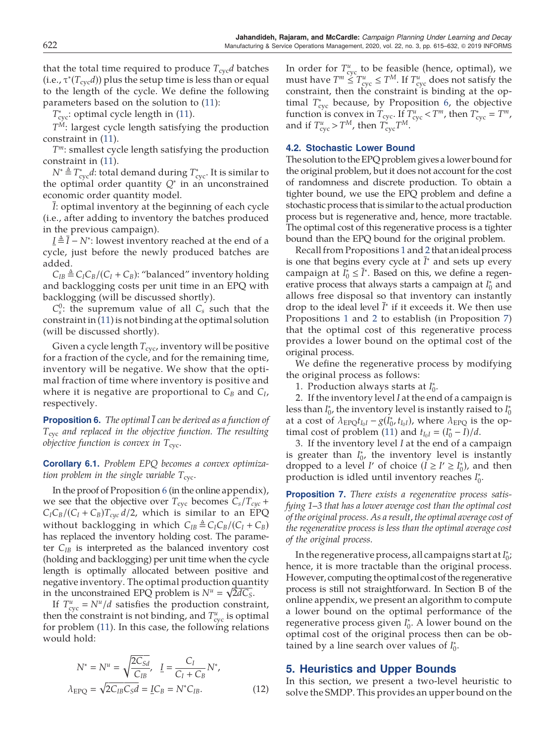that the total time required to produce  $T_{\text{cyc}}$ *d* batches (i.e.,  $\tau^*(T_{\text{cyc}}d)$ ) plus the setup time is less than or equal to the length of the cycle. We define the following parameters based on the solution to ([11](#page-7-4)):

 $T_{\text{cyc}}^*$ : optimal cycle length in ([11\)](#page-7-4).

 $T^{\tilde{M}}$ : largest cycle length satisfying the production constraint in [\(11\)](#page-7-4).

 $T^m$ : smallest cycle length satisfying the production constraint in [\(11\)](#page-7-4).

 $N^*\!\triangleq\! T^*_{\text{cyc}}d$ : total demand during  $T^*_{\text{cyc}}.$  It is similar to the optimal order quantity  $Q^*$  in an unconstrained economic order quantity model.

I: optimal inventory at the beginning of each cycle (i.e., after adding to inventory the batches produced in the previous campaign).

 $\underline{I} \triangleq I - N^*$ : lowest inventory reached at the end of a cycle, just before the newly produced batches are added.

 $C_{IB} \triangleq C_I C_B / (C_I + C_B)$ : "balanced" inventory holding and backlogging costs per unit time in an EPQ with backlogging (will be discussed shortly).

 $C_s^0$ : the supremum value of all  $C_s$  such that the constraint in [\(11\)](#page-7-4) is not binding at the optimal solution (will be discussed shortly).

Given a cycle length  $T_{\text{cyc}}$ , inventory will be positive for a fraction of the cycle, and for the remaining time, inventory will be negative. We show that the optimal fraction of time where inventory is positive and where it is negative are proportional to  $C_B$  and  $C_I$ , respectively.

<span id="page-8-1"></span>**Proposition 6.** The optimal  $\overline{I}$  can be derived as a function of  $T_{\rm cyc}$  and replaced in the objective function. The resulting objective function is convex in  $T_{\rm cyc}$ .

Corollary 6.1. Problem EPQ becomes a convex optimization problem in the single variable  $T_{\text{cyc}}$ .

In the proof of Proposition [6](#page-8-1) (in the online appendix), we see that the objective over  $T_{\text{cyc}}$  becomes  $C_s/T_{\text{cyc}}$  +  $C_I C_B / (C_I + C_B) T_{cyc} d/2$ , which is similar to an EPQ without backlogging in which  $C_{IB} \triangleq C_I C_B / (C_I + C_B)$ has replaced the inventory holding cost. The parameter  $C_{IB}$  is interpreted as the balanced inventory cost (holding and backlogging) per unit time when the cycle length is optimally allocated between positive and negative inventory. The optimal production quantity in the unconstrained EPQ problem is  $N^u = \sqrt{2dC_S}$ .

If  $T_{\text{cyc}}^u = N^u/d$  satisfies the production constraint, then the constraint is not binding, and  $T_{\rm cyc}^u$  is optimal for problem ([11](#page-7-4)). In this case, the following relations would hold:

$$
N^* = N^u = \sqrt{\frac{2C_{Sd}}{C_{IB}}}, \quad \underline{I} = \frac{C_I}{C_I + C_B} N^*,
$$

$$
\lambda_{EPQ} = \sqrt{2C_{IB}C_Sd} = \underline{I}C_B = N^*C_{IB}.
$$
(12)

In order for  $T_{\text{cyc}}^u$  to be feasible (hence, optimal), we must have  $T^m \leq T_{\text{cyc}}^u \leq T^M$ . If  $T_{\text{cyc}}^u$  does not satisfy the constraint, then the constraint is binding at the optimal  $T_{\text{cyc}}^*$  because, by Proposition [6](#page-8-1), the objective function is convex in  $T_{\text{cyc}}$ . If  $T_{\text{cyc}}^u < T^m$ , then  $T_{\text{cyc}}^* = T^m$ , and if  $T_{\text{cyc}}^u > T^M$ , then  $T_{\text{cyc}}^* T^M$ .

#### <span id="page-8-3"></span>4.2. Stochastic Lower Bound

The solution to the EPQ problem gives a lower bound for the original problem, but it does not account for the cost of randomness and discrete production. To obtain a tighter bound, we use the EPQ problem and define a stochastic process that is similar to the actual production process but is regenerative and, hence, more tractable. The optimal cost of this regenerative process is a tighter bound than the EPQ bound for the original problem.

Recall from Propositions [1](#page-6-1) and [2](#page-6-2) that anideal process is one that begins every cycle at I <sup>∗</sup> and sets up every campaign at  $I_0^* \leq I^*$ . Based on this, we define a regenerative process that always starts a campaign at  $I_0^*$  and allows free disposal so that inventory can instantly drop to the ideal level  $I^*$  if it exceeds it. We then use Propositions [1](#page-6-1) and [2](#page-6-2) to establish (in Proposition [7](#page-8-2)) that the optimal cost of this regenerative process provides a lower bound on the optimal cost of the original process.

We define the regenerative process by modifying the original process as follows:

1. Production always starts at  $I_0^*$ .

2. If the inventory level I at the end of a campaign is less than  $I^*_0$ , the inventory level is instantly raised to  $I^*_0$ at a cost of  $\lambda_{\text{EPO}} t_{I_0I} - g(I_0^*, t_{I_0I})$ , where  $\lambda_{\text{EPO}}$  is the op-timal cost of problem ([11](#page-7-4)) and  $t_{I_0I} = (I_0^* - I)/d$ .

3. If the inventory level  $I$  at the end of a campaign is greater than  $I^*_{0}$ , the inventory level is instantly dropped to a level *I'* of choice  $(I \ge I' \ge I_0^*)$ , and then production is idled until inventory reaches  $I_0^*$ .

<span id="page-8-2"></span>**Proposition 7.** There exists a regenerative process satisfying 1–3 that has a lower average cost than the optimal cost of the original process. As a result, the optimal average cost of the regenerative process is less than the optimal average cost of the original process.

In the regenerative process, all campaigns start at  $I_{0}^{\ast};$ hence, it is more tractable than the original process. However, computing the optimal cost of the regenerative process is still not straightforward. In Section B of the online appendix, we present an algorithm to compute a lower bound on the optimal performance of the regenerative process given  $I_0^*$ . A lower bound on the optimal cost of the original process then can be obtained by a line search over values of  $I_0^*$ .

### <span id="page-8-0"></span>5. Heuristics and Upper Bounds

In this section, we present a two-level heuristic to solve the SMDP. This provides an upper bound on the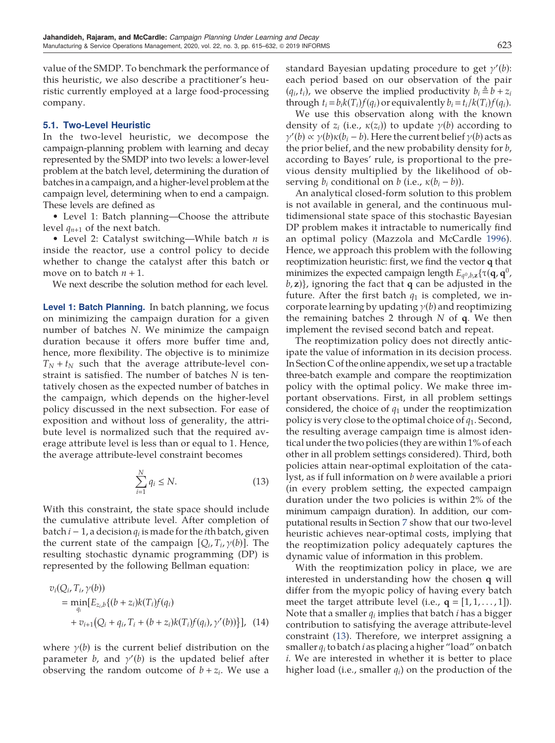value of the SMDP. To benchmark the performance of this heuristic, we also describe a practitioner's heuristic currently employed at a large food-processing company.

#### <span id="page-9-0"></span>5.1. Two-Level Heuristic

In the two-level heuristic, we decompose the campaign-planning problem with learning and decay represented by the SMDP into two levels: a lower-level problem at the batch level, determining the duration of batches in a campaign, and a higher-level problem at the campaign level, determining when to end a campaign. These levels are defined as

• Level 1: Batch planning—Choose the attribute level  $q_{n+1}$  of the next batch.

• Level 2: Catalyst switching—While batch  $n$  is inside the reactor, use a control policy to decide whether to change the catalyst after this batch or move on to batch  $n + 1$ .

We next describe the solution method for each level.

Level 1: Batch Planning. In batch planning, we focus on minimizing the campaign duration for a given number of batches N. We minimize the campaign duration because it offers more buffer time and, hence, more flexibility. The objective is to minimize  $T_N + t_N$  such that the average attribute-level constraint is satisfied. The number of batches  $N$  is tentatively chosen as the expected number of batches in the campaign, which depends on the higher-level policy discussed in the next subsection. For ease of exposition and without loss of generality, the attribute level is normalized such that the required average attribute level is less than or equal to 1. Hence, the average attribute-level constraint becomes

$$
\sum_{i=1}^{N} q_i \le N. \tag{13}
$$

<span id="page-9-1"></span>With this constraint, the state space should include the cumulative attribute level. After completion of batch  $i - 1$ , a decision  $q_i$  is made for the *i*th batch, given the current state of the campaign  $[Q_i, T_i, \gamma(b)]$ . The resulting stochastic dynamic programming (DP) is represented by the following Bellman equation:

$$
v_i(Q_i, T_i, \gamma(b))
$$
  
= 
$$
\min_{q_i} [E_{z_i, b}\{(b+z_i)k(T_i)f(q_i)
$$
  
+ 
$$
v_{i+1}(Q_i + q_i, T_i + (b+z_i)k(T_i)f(q_i), \gamma'(b))\}], (14)
$$

where  $\gamma(b)$  is the current belief distribution on the parameter *b*, and  $\gamma'(b)$  is the updated belief after observing the random outcome of  $b + z_i$ . We use a

standard Bayesian updating procedure to get  $\gamma'(b)$ : each period based on our observation of the pair  $(q_i, t_i)$ , we observe the implied productivity  $b_i \triangleq b + z_i$ through  $t_i = b_i k(T_i) f(q_i)$  or equivalently  $b_i = t_i/k(T_i) f(q_i)$ .

We use this observation along with the known density of  $z_i$  (i.e.,  $\kappa(z_i)$ ) to update  $\gamma(b)$  according to  $\gamma'(b) \propto \gamma(b) \kappa(b_i - b)$ . Here the current belief  $\gamma(b)$  acts as the prior belief, and the new probability density for b, according to Bayes' rule, is proportional to the previous density multiplied by the likelihood of observing  $b_i$  conditional on b (i.e.,  $\kappa(b_i - b)$ ).

An analytical closed-form solution to this problem is not available in general, and the continuous multidimensional state space of this stochastic Bayesian DP problem makes it intractable to numerically find an optimal policy (Mazzola and McCardle [1996\)](#page-18-9). Hence, we approach this problem with the following reoptimization heuristic: first, we find the vector q that minimizes the expected campaign length  $E_{q^0,b,z}$ { $\tau(\mathbf{q},\mathbf{q}^0)$ ,  $(b, z)$ , ignoring the fact that q can be adjusted in the future. After the first batch  $q_1$  is completed, we incorporate learning by updating  $\gamma(b)$  and reoptimizing the remaining batches 2 through  $N$  of  $q$ . We then implement the revised second batch and repeat.

The reoptimization policy does not directly anticipate the value of information in its decision process. In Section C of the online appendix, we set up a tractable three-batch example and compare the reoptimization policy with the optimal policy. We make three important observations. First, in all problem settings considered, the choice of  $q_1$  under the reoptimization policy is very close to the optimal choice of  $q_1$ . Second, the resulting average campaign time is almost identical under the two policies (they are within 1% of each other in all problem settings considered). Third, both policies attain near-optimal exploitation of the catalyst, as if full information on b were available a priori (in every problem setting, the expected campaign duration under the two policies is within 2% of the minimum campaign duration). In addition, our computational results in Section [7](#page-14-0) show that our two-level heuristic achieves near-optimal costs, implying that the reoptimization policy adequately captures the dynamic value of information in this problem.

With the reoptimization policy in place, we are interested in understanding how the chosen q will differ from the myopic policy of having every batch meet the target attribute level (i.e.,  $q = [1, 1, \ldots, 1]$ ). Note that a smaller  $q_i$  implies that batch *i* has a bigger contribution to satisfying the average attribute-level constraint ([13\)](#page-9-1). Therefore, we interpret assigning a smaller  $q_i$  to batch *i* as placing a higher "load" on batch i. We are interested in whether it is better to place higher load (i.e., smaller  $q_i$ ) on the production of the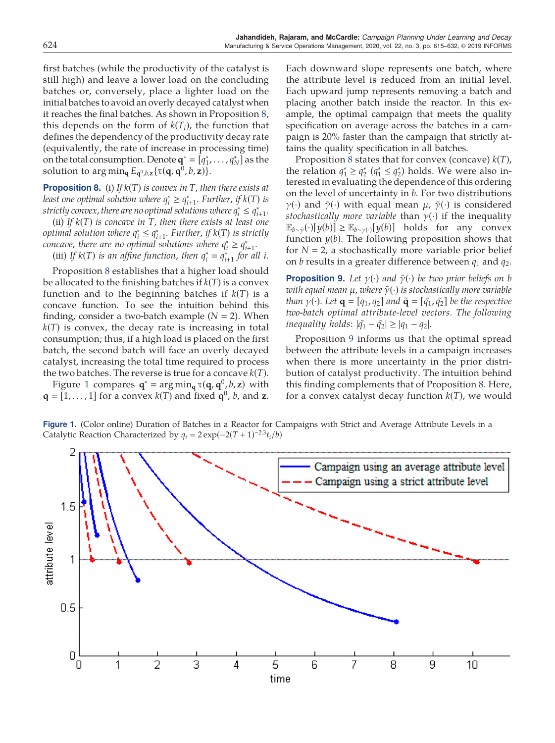first batches (while the productivity of the catalyst is still high) and leave a lower load on the concluding batches or, conversely, place a lighter load on the initial batches to avoid an overly decayed catalyst when it reaches the final batches. As shown in Proposition [8](#page-10-0), this depends on the form of  $k(T_i)$ , the function that defines the dependency of the productivity decay rate (equivalently, the rate of increase in processing time) on the total consumption. Denote  $\mathbf{q}^* = [q_1^*, \dots, q_N^*]$  as the solution to  $\arg \min_{\mathbf{q}} E_{\mathbf{q}^0, b, \mathbf{z}} \{ \tau(\mathbf{q}, \mathbf{q}^0, b, \mathbf{z}) \}.$ 

<span id="page-10-0"></span>**Proposition 8.** (i) If  $k(T)$  is convex in T, then there exists at least one optimal solution where  $q_i^* \ge q_{i+1}^*$ . Further, if k(T) is strictly convex, there are no optimal solutions where  $q_i^* \le q_{i+1}^*$ .

(ii) If  $k(T)$  is concave in T, then there exists at least one optimal solution where  $q_i^* \leq q_{i+1}^*$ . Further, if k(T) is strictly concave, there are no optimal solutions where  $q_i^* \ge q_{i+1}^*$ .

(iii) If  $k(T)$  is an affine function, then  $q_i^* = q_{i+1}^*$  for all i.

Proposition [8](#page-10-0) establishes that a higher load should be allocated to the finishing batches if  $k(T)$  is a convex function and to the beginning batches if  $k(T)$  is a concave function. To see the intuition behind this finding, consider a two-batch example  $(N = 2)$ . When  $k(T)$  is convex, the decay rate is increasing in total consumption; thus, if a high load is placed on the first batch, the second batch will face an overly decayed catalyst, increasing the total time required to process the two batches. The reverse is true for a concave  $k(T)$ .

Figure [1](#page-10-1) compares  $q^* = \arg \min_q \tau(q, q^0, b, z)$  with  $q = [1, \ldots, 1]$  for a convex  $k(T)$  and fixed  $q^0$ , b, and z.

Each downward slope represents one batch, where the attribute level is reduced from an initial level. Each upward jump represents removing a batch and placing another batch inside the reactor. In this example, the optimal campaign that meets the quality specification on average across the batches in a campaign is 20% faster than the campaign that strictly attains the quality specification in all batches.

Proposition [8](#page-10-0) states that for convex (concave)  $k(T)$ , the relation  $q_1^*$  ≥  $q_2^*$   $(q_1^*$  ≤  $q_2^*)$  holds. We were also interested in evaluating the dependence of this ordering on the level of uncertainty in  $b$ . For two distributions  $\gamma(\cdot)$  and  $\tilde{\gamma}(\cdot)$  with equal mean  $\mu$ ,  $\tilde{\gamma}(\cdot)$  is considered stochastically more variable than  $\gamma(\cdot)$  if the inequality  $\mathbb{E}_{b \sim \tilde{\gamma}}(\cdot)[y(b)] \geq \mathbb{E}_{b \sim \gamma(\cdot)}[y(b)]$  holds for any convex function  $y(b)$ . The following proposition shows that for  $N = 2$ , a stochastically more variable prior belief on *b* results in a greater difference between  $q_1$  and  $q_2$ .

<span id="page-10-2"></span>**Proposition 9.** Let  $\gamma(\cdot)$  and  $\tilde{\gamma}(\cdot)$  be two prior beliefs on b with equal mean  $\mu$ , where  $\tilde{\gamma}(\cdot)$  is stochastically more variable than  $\gamma(\cdot)$ . Let  $\mathbf{q} = [q_1, q_2]$  and  $\tilde{\mathbf{q}} = [\tilde{q_1}, \tilde{q_2}]$  be the respective two-batch optimal attribute-level vectors. The following inequality holds:  $|\tilde{q_1} - \tilde{q_2}| \ge |q_1 - q_2|$ .

Proposition [9](#page-10-2) informs us that the optimal spread between the attribute levels in a campaign increases when there is more uncertainty in the prior distribution of catalyst productivity. The intuition behind this finding complements that of Proposition [8.](#page-10-0) Here, for a convex catalyst decay function  $k(T)$ , we would

<span id="page-10-1"></span>Figure 1. (Color online) Duration of Batches in a Reactor for Campaigns with Strict and Average Attribute Levels in a Catalytic Reaction Characterized by  $q_i = 2 \exp(-2(T+1)^{-2.3}t_i/b)$ 

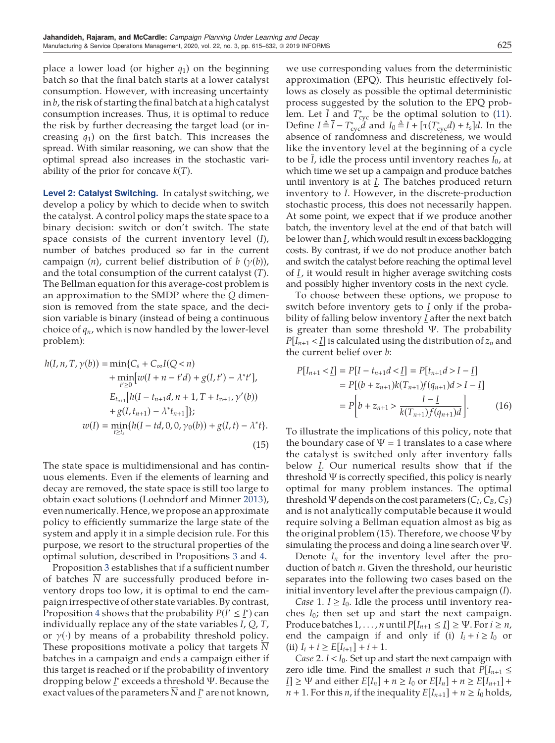place a lower load (or higher  $q_1$ ) on the beginning batch so that the final batch starts at a lower catalyst consumption. However, with increasing uncertainty in  $b$ , the risk of starting the final batch at a high catalyst consumption increases. Thus, it is optimal to reduce the risk by further decreasing the target load (or increasing  $q_1$ ) on the first batch. This increases the spread. With similar reasoning, we can show that the optimal spread also increases in the stochastic variability of the prior for concave  $k(T)$ .

Level 2: Catalyst Switching. In catalyst switching, we develop a policy by which to decide when to switch the catalyst. A control policy maps the state space to a binary decision: switch or don't switch. The state space consists of the current inventory level (I), number of batches produced so far in the current campaign (*n*), current belief distribution of b ( $\gamma$ (b)), and the total consumption of the current catalyst  $(T)$ . The Bellman equation for this average-cost problem is an approximation to the SMDP where the  $Q$  dimension is removed from the state space, and the decision variable is binary (instead of being a continuous choice of  $q_n$ , which is now handled by the lower-level problem):

$$
h(I, n, T, \gamma(b)) = \min\{C_s + C_{\infty}I(Q < n) + \min_{t' \ge 0} [w(I + n - t'd) + g(I, t') - \lambda^*t'],
$$
  

$$
E_{t_{n+1}}[h(I - t_{n+1}d, n + 1, T + t_{n+1}, \gamma'(b)) + g(I, t_{n+1}) - \lambda^*t_{n+1}]\};
$$
  

$$
w(I) = \min_{t \ge t_s} \{h(I - td, 0, 0, \gamma_0(b)) + g(I, t) - \lambda^*t\}.
$$
  
(15)

The state space is multidimensional and has continuous elements. Even if the elements of learning and decay are removed, the state space is still too large to obtain exact solutions (Loehndorf and Minner [2013\)](#page-18-27), even numerically. Hence, we propose an approximate policy to efficiently summarize the large state of the system and apply it in a simple decision rule. For this purpose, we resort to the structural properties of the optimal solution, described in Propositions [3](#page-7-2) and [4](#page-7-1).

Proposition [3](#page-7-2) establishes that if a sufficient number of batches N are successfully produced before inventory drops too low, it is optimal to end the campaign irrespective of other state variables. By contrast, Proposition [4](#page-7-1) shows that the probability  $P(I' \leq I^*)$  can individually replace any of the state variables  $I, Q, T$ , or  $\gamma(\cdot)$  by means of a probability threshold policy. These propositions motivate a policy that targets  $N$ batches in a campaign and ends a campaign either if this target is reached or if the probability of inventory dropping below <u>I</u>\* exceeds a threshold Ψ. Because the exact values of the parameters  $N$  and  $\underline{I}^*$  are not known,

we use corresponding values from the deterministic approximation (EPQ). This heuristic effectively follows as closely as possible the optimal deterministic process suggested by the solution to the EPQ problem. Let I and  $T^*_{\text{cyc}}$  be the optimal solution to [\(11\)](#page-7-4). Define  $\underline{I} \triangleq \underline{I} - T^*_{\text{cyc}}d$  and  $I_0 \triangleq \underline{I} + [\tau(T^*_{\text{cyc}}d) + t_s]d$ . In the absence of randomness and discreteness, we would like the inventory level at the beginning of a cycle to be I, idle the process until inventory reaches  $I_0$ , at which time we set up a campaign and produce batches until inventory is at  $I$ . The batches produced return inventory to I. However, in the discrete-production stochastic process, this does not necessarily happen. At some point, we expect that if we produce another batch, the inventory level at the end of that batch will be lower than *I*, which would result in excess backlogging costs. By contrast, if we do not produce another batch and switch the catalyst before reaching the optimal level of  $I$ , it would result in higher average switching costs and possibly higher inventory costs in the next cycle.

To choose between these options, we propose to switch before inventory gets to  $I$  only if the probability of falling below inventory  $I$  after the next batch is greater than some threshold Ψ. The probability  $P[I_{n+1} < I]$  is calculated using the distribution of  $z_n$  and the current belief over b:

<span id="page-11-0"></span>
$$
P[I_{n+1} < \underline{I}] = P[I - t_{n+1}d < \underline{I}] = P[t_{n+1}d > I - \underline{I}]
$$
\n
$$
= P[(b + z_{n+1})k(T_{n+1})f(q_{n+1})d > I - \underline{I}]
$$
\n
$$
= P\left[b + z_{n+1} > \frac{I - \underline{I}}{k(T_{n+1})f(q_{n+1})d}\right].\tag{16}
$$

To illustrate the implications of this policy, note that the boundary case of  $\Psi = 1$  translates to a case where the catalyst is switched only after inventory falls below *I*. Our numerical results show that if the threshold Ψ is correctly specified, this policy is nearly optimal for many problem instances. The optimal threshold Ψ depends on the cost parameters  $(C_I, C_B, C_S)$ and is not analytically computable because it would require solving a Bellman equation almost as big as the original problem (15). Therefore, we choose  $\Psi$  by simulating the process and doing a line search over Ψ.

Denote  $I_n$  for the inventory level after the production of batch n. Given the threshold, our heuristic separates into the following two cases based on the initial inventory level after the previous campaign (I).

*Case* 1.  $I \geq I_0$ . Idle the process until inventory reaches  $I_0$ ; then set up and start the next campaign. Produce batches  $1, \ldots, n$  until  $P[I_{n+1} \leq \underline{I}] \geq \Psi$ . For  $i \geq n$ , end the campaign if and only if (i)  $I_i + i \geq I_0$  or (ii)  $I_i + i \geq E[I_{i+1}] + i + 1$ .

*Case* 2.  $I < I_0$ . Set up and start the next campaign with zero idle time. Find the smallest *n* such that  $P[I_{n+1} \leq$  $\underline{I}$   $\geq \Psi$  and either  $E[I_n] + n \geq I_0$  or  $E[I_n] + n \geq E[I_{n+1}] + n$  $n + 1$ . For this *n*, if the inequality  $E[I_{n+1}] + n \ge I_0$  holds,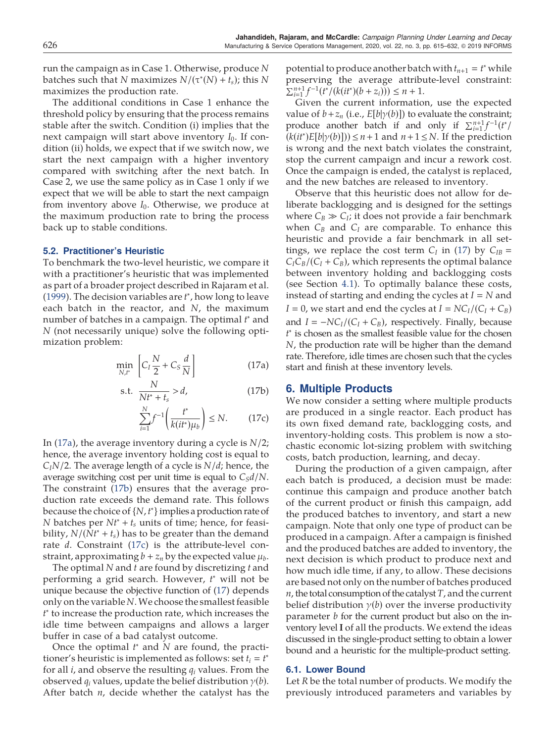run the campaign as in Case 1. Otherwise, produce N batches such that N maximizes  $N/(\tau^*(N) + t_s)$ ; this N maximizes the production rate.

The additional conditions in Case 1 enhance the threshold policy by ensuring that the process remains stable after the switch. Condition (i) implies that the next campaign will start above inventory  $I_0$ . If condition (ii) holds, we expect that if we switch now, we start the next campaign with a higher inventory compared with switching after the next batch. In Case 2, we use the same policy as in Case 1 only if we expect that we will be able to start the next campaign from inventory above  $I_0$ . Otherwise, we produce at the maximum production rate to bring the process back up to stable conditions.

#### 5.2. Practitioner's Heuristic

<span id="page-12-1"></span>To benchmark the two-level heuristic, we compare it with a practitioner's heuristic that was implemented as part of a broader project described in Rajaram et al. ([1999\)](#page-18-7). The decision variables are  $t^*$ , how long to leave each batch in the reactor, and  $N$ , the maximum number of batches in a campaign. The optimal  $t^\ast$  and N (not necessarily unique) solve the following optimization problem:

$$
\min_{N,r} \left[ C_I \frac{N}{2} + C_S \frac{d}{N} \right] \tag{17a}
$$

$$
\text{s.t. } \frac{N}{Nt^* + t_s} > d,\tag{17b}
$$

$$
\sum_{i=1}^{N} f^{-1}\left(\frac{t^*}{k(it^*)\mu_b}\right) \le N. \tag{17c}
$$

<span id="page-12-3"></span><span id="page-12-2"></span>In ([17a](#page-12-1)), the average inventory during a cycle is  $N/2$ ; hence, the average inventory holding cost is equal to  $C_I N/2$ . The average length of a cycle is  $N/d$ ; hence, the average switching cost per unit time is equal to  $C_S d/N$ . The constraint [\(17b](#page-12-2)) ensures that the average production rate exceeds the demand rate. This follows because the choice of  $\{N, t^*\}$  implies a production rate of N batches per  $Nt^* + t_s$  units of time; hence, for feasibility,  $N/(Nt^* + t_s)$  has to be greater than the demand rate d. Constraint [\(17c](#page-12-3)) is the attribute-level constraint, approximating  $b + z_n$  by the expected value  $\mu_b$ .

The optimal  $N$  and  $t$  are found by discretizing  $t$  and performing a grid search. However, t <sup>∗</sup> will not be unique because the objective function of [\(17\)](#page-12-1) depends only on the variable N.We choose the smallest feasible t <sup>∗</sup> to increase the production rate, which increases the idle time between campaigns and allows a larger buffer in case of a bad catalyst outcome.

Once the optimal  $t^*$  and N are found, the practitioner's heuristic is implemented as follows: set  $t_i = t^*$ for all *i*, and observe the resulting  $q_i$  values. From the observed  $q_i$  values, update the belief distribution  $\gamma(b)$ . After batch  $n$ , decide whether the catalyst has the

potential to produce another batch with  $t_{n+1} = t^*$  while preserving the average attribute-level constraint:  $\sum_{i=1}^{n+1} f^{-1}(t^*/(k(it^*)(b+z_i))) \leq n+1.$ 

Given the current information, use the expected value of  $b + z_n$  (i.e.,  $E[b|\gamma(b)]$ ) to evaluate the constraint; produce another batch if and only if  $\sum_{i=1}^{n+1} f^{-1}(t^*)$  $(k(it^*)E[b|\gamma(b)])) \leq n+1$  and  $n+1 \leq N$ . If the prediction is wrong and the next batch violates the constraint, stop the current campaign and incur a rework cost. Once the campaign is ended, the catalyst is replaced, and the new batches are released to inventory.

Observe that this heuristic does not allow for deliberate backlogging and is designed for the settings where  $C_B \gg C_I$ ; it does not provide a fair benchmark when  $C_B$  and  $C_I$  are comparable. To enhance this heuristic and provide a fair benchmark in all settings, we replace the cost term  $C_I$  in ([17\)](#page-12-1) by  $C_{IB}$  =  $C_I C_B / (C_I + C_B)$ , which represents the optimal balance between inventory holding and backlogging costs (see Section [4.1](#page-7-5)). To optimally balance these costs, instead of starting and ending the cycles at  $I = N$  and  $I = 0$ , we start and end the cycles at  $I = NC_I/(C_I + C_B)$ and  $I = -NC_I/(C_I + C_B)$ , respectively. Finally, because t <sup>∗</sup> is chosen as the smallest feasible value for the chosen N, the production rate will be higher than the demand rate. Therefore, idle times are chosen such that the cycles start and finish at these inventory levels.

#### <span id="page-12-0"></span>6. Multiple Products

We now consider a setting where multiple products are produced in a single reactor. Each product has its own fixed demand rate, backlogging costs, and inventory-holding costs. This problem is now a stochastic economic lot-sizing problem with switching costs, batch production, learning, and decay.

During the production of a given campaign, after each batch is produced, a decision must be made: continue this campaign and produce another batch of the current product or finish this campaign, add the produced batches to inventory, and start a new campaign. Note that only one type of product can be produced in a campaign. After a campaign is finished and the produced batches are added to inventory, the next decision is which product to produce next and how much idle time, if any, to allow. These decisions are based not only on the number of batches produced  $n$ , the total consumption of the catalyst  $T$ , and the current belief distribution  $\gamma(b)$  over the inverse productivity parameter  $b$  for the current product but also on the inventory level I of all the products. We extend the ideas discussed in the single-product setting to obtain a lower bound and a heuristic for the multiple-product setting.

#### <span id="page-12-4"></span>6.1. Lower Bound

Let  $R$  be the total number of products. We modify the previously introduced parameters and variables by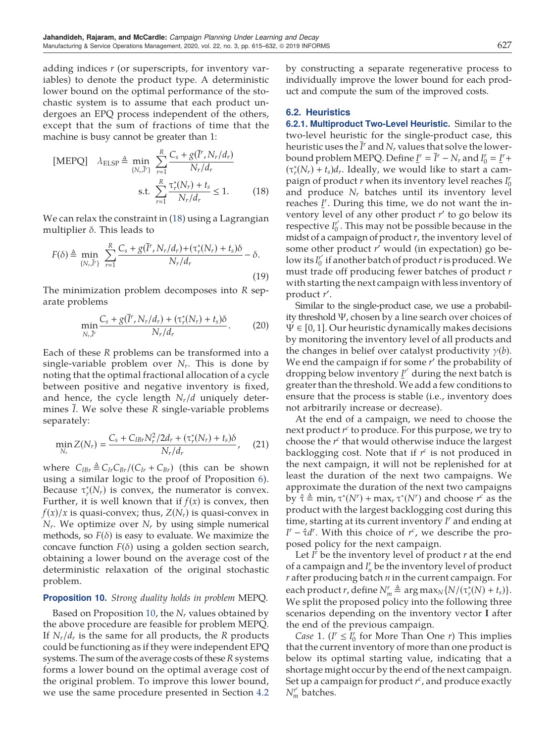adding indices  $r$  (or superscripts, for inventory variables) to denote the product type. A deterministic lower bound on the optimal performance of the stochastic system is to assume that each product undergoes an EPQ process independent of the others, except that the sum of fractions of time that the machine is busy cannot be greater than 1:

<span id="page-13-0"></span>
$$
\text{[MEPQ]} \quad \lambda_{\text{ELSP}} \triangleq \min_{\{N_r, \bar{I}'\}} \sum_{r=1}^{R} \frac{C_s + g(\bar{I}', N_r/d_r)}{N_r/d_r} \quad \text{s.t.} \quad \sum_{r=1}^{R} \frac{\tau_r^*(N_r) + t_s}{N_r/d_r} \le 1. \quad (18)
$$

We can relax the constraint in ([18](#page-13-0)) using a Lagrangian multiplier  $\delta$ . This leads to

$$
F(\delta) \triangleq \min_{\{N_r, \bar{I}^r\}} \sum_{r=1}^R \frac{C_s + g(\bar{I}^r, N_r/d_r) + (\tau_r^*(N_r) + t_s)\delta}{N_r/d_r} - \delta.
$$
\n(19)

The minimization problem decomposes into R separate problems

$$
\min_{N_r,\bar{l}^r} \frac{C_s + g(\bar{l}^r, N_r/d_r) + (\tau_r^*(N_r) + t_s)\delta}{N_r/d_r}.
$$
 (20)

Each of these R problems can be transformed into a single-variable problem over  $N_r$ . This is done by noting that the optimal fractional allocation of a cycle between positive and negative inventory is fixed, and hence, the cycle length  $N_r/d$  uniquely determines  $\overline{I}$ . We solve these  $R$  single-variable problems separately:

$$
\min_{N_r} Z(N_r) = \frac{C_s + C_{IBr} N_r^2 / 2d_r + (\tau_r^*(N_r) + t_s)\delta}{N_r / d_r},
$$
 (21)

where  $C_{IBr} \triangleq C_{Ir}C_{Br}/(C_{Ir} + C_{Br})$  (this can be shown using a similar logic to the proof of Proposition [6\)](#page-8-1). Because  $\tau_r^*(N_r)$  is convex, the numerator is convex. Further, it is well known that if  $f(x)$  is convex, then  $f(x)/x$  is quasi-convex; thus,  $Z(N_r)$  is quasi-convex in  $N_r$ . We optimize over  $N_r$  by using simple numerical methods, so  $F(\delta)$  is easy to evaluate. We maximize the concave function  $F(\delta)$  using a golden section search, obtaining a lower bound on the average cost of the deterministic relaxation of the original stochastic problem.

#### <span id="page-13-1"></span>**Proposition 10.** Strong duality holds in problem MEPQ.

Based on Proposition [10](#page-13-1), the  $N_r$  values obtained by the above procedure are feasible for problem MEPQ. If  $N_r/d_r$  is the same for all products, the R products could be functioning as if they were independent EPQ systems. The sum of the average costs of these R systems forms a lower bound on the optimal average cost of the original problem. To improve this lower bound, we use the same procedure presented in Section [4.2](#page-8-3)

by constructing a separate regenerative process to individually improve the lower bound for each product and compute the sum of the improved costs.

#### 6.2. Heuristics

6.2.1. Multiproduct Two-Level Heuristic. Similar to the two-level heuristic for the single-product case, this heuristic uses the  $\bar{I}^r$  and  $N_r$  values that solve the lowerbound problem MEPQ. Define  $\underline{I}^r = \overline{I}^r - N_r$  and  $I_0^r = \underline{I}^r +$  $(\tau_r^*(N_r) + t_s)d_r$ . Ideally, we would like to start a campaign of product  $r$  when its inventory level reaches  $I_0^r$ and produce  $N_r$  batches until its inventory level reaches  $I<sup>r</sup>$ . During this time, we do not want the inventory level of any other product  $r'$  to go below its respective  $I_0^{r'}$ . This may not be possible because in the midst of a campaign of product  $r$ , the inventory level of some other product  $r'$  would (in expectation) go below its  $I_0^{r'}$  if another batch of product  $r$  is produced. We must trade off producing fewer batches of product r with starting the next campaign with less inventory of product r .

Similar to the single-product case, we use a probability threshold Ψ, chosen by a line search over choices of  $\Psi \in [0, 1]$ . Our heuristic dynamically makes decisions by monitoring the inventory level of all products and the changes in belief over catalyst productivity  $\gamma(b)$ . We end the campaign if for some  $r'$  the probability of dropping below inventory  $I^{r'}$  during the next batch is greater than the threshold.We add a few conditions to ensure that the process is stable (i.e., inventory does not arbitrarily increase or decrease).

At the end of a campaign, we need to choose the next product  $r^c$  to produce. For this purpose, we try to choose the  $r^c$  that would otherwise induce the largest backlogging cost. Note that if  $r^c$  is not produced in the next campaign, it will not be replenished for at least the duration of the next two campaigns. We approximate the duration of the next two campaigns by  $\hat{\tau} \triangleq \min_r \tau^*(N^r) + \max_r \tau^*(N^r)$  and choose  $r^c$  as the product with the largest backlogging cost during this time, starting at its current inventory  $I<sup>r</sup>$  and ending at  $I^r$  –  $\hat{\tau}d^r$ . With this choice of  $r^c$ , we describe the proposed policy for the next campaign.

Let  $I<sup>r</sup>$  be the inventory level of product  $r$  at the end of a campaign and  $I_n^r$  be the inventory level of product  $r$  after producing batch  $n$  in the current campaign. For each product *r*, define  $N_m^r \triangleq \arg \max_N \{N/(\tau_r^*(N) + t_s)\}.$ We split the proposed policy into the following three scenarios depending on the inventory vector I after the end of the previous campaign.

*Case 1.* (*I<sup>r</sup>*  $\leq I_0^r$  for More Than One *r*) This implies that the current inventory of more than one product is below its optimal starting value, indicating that a shortage might occur by the end of the next campaign. Set up a campaign for product  $r^c$ , and produce exactly  $N_m^{r^c}$  batches.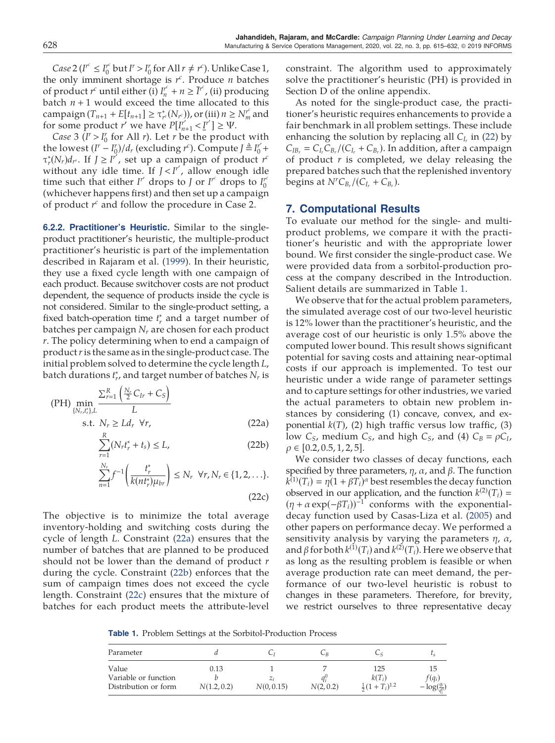*Case* 2 ( $I^r \leq I_0^r$  but  $I^r > I_0^r$  for All  $r \neq r^c$ ). Unlike Case 1, the only imminent shortage is  $r^c$ . Produce *n* batches of product  $r^c$  until either (i)  $I_n^r + n \ge \overline{I}^r$ , (ii) producing batch  $n + 1$  would exceed the time allocated to this campaign  $(T_{n+1} + E[t_{n+1}] \ge \tau^*_{r}(N_{r})),$  or (iii)  $n \ge N_m^{r^c}$  and for some product r' we have  $P[I_{n+1}^{\prime\prime} \leq \underline{I}^{\prime\prime}] \geq \Psi$ .

Case 3 ( $I^r > I_0^r$  for All  $r$ ). Let  $r$  be the product with the lowest  $(I^r - I_0^r)/d_r$  (excluding  $r^c$ ). Compute  $J \triangleq I_0^r +$  $\tau_r^*(N_r)d_{r'}$ . If  $J \geq I^{r'}$ , set up a campaign of product  $r^c$ without any idle time. If  $J < I''$ , allow enough idle time such that either  $I^{r'}$  drops to J or  $I^{r^c}$  drops to  $I_0^{r^c}$ (whichever happens first) and then set up a campaign of product  $r^c$  and follow the procedure in Case 2.

6.2.2. Practitioner's Heuristic. Similar to the singleproduct practitioner's heuristic, the multiple-product practitioner's heuristic is part of the implementation described in Rajaram et al. ([1999](#page-18-7)). In their heuristic, they use a fixed cycle length with one campaign of each product. Because switchover costs are not product dependent, the sequence of products inside the cycle is not considered. Similar to the single-product setting, a fixed batch-operation time  $t_r^*$  and a target number of batches per campaign  $N_r$  are chosen for each product r. The policy determining when to end a campaign of  $product$  *r* is the same as in the single-product case. The initial problem solved to determine the cycle length L, batch durations  $t_r^\ast$ , and target number of batches  $N_r$  is

<span id="page-14-2"></span><span id="page-14-1"></span>
$$
\text{(PH)}\n\min_{\{N_r, t_r^*\}, L}\n\frac{\sum_{r=1}^R \left(\frac{N_r}{2}C_{Ir} + C_S\right)}{L}\n\quad\n\text{s.t. } N_r \ge L d_r \ \forall r,
$$
\n
$$
\tag{22a}
$$

<span id="page-14-3"></span>
$$
\sum_{r=1}^{R} (N_r t_r^* + t_s) \le L,
$$
\n(22b)

$$
\sum_{n=1}^{N_r} f^{-1} \left( \frac{t_r^*}{k(nt_r^*)\mu_{br}} \right) \le N_r \ \forall r, N_r \in \{1, 2, \ldots\}.
$$
\n(22c)

The objective is to minimize the total average inventory-holding and switching costs during the cycle of length L. Constraint ([22a](#page-14-1)) ensures that the number of batches that are planned to be produced should not be lower than the demand of product  $r$ during the cycle. Constraint ([22b](#page-14-2)) enforces that the sum of campaign times does not exceed the cycle length. Constraint ([22c\)](#page-14-3) ensures that the mixture of batches for each product meets the attribute-level

constraint. The algorithm used to approximately solve the practitioner's heuristic (PH) is provided in Section D of the online appendix.

As noted for the single-product case, the practitioner's heuristic requires enhancements to provide a fair benchmark in all problem settings. These include enhancing the solution by replacing all  $C_{I_r}$  in ([22](#page-14-1)) by  $C_{IB_r} = C_{I_r} C_{B_r} / (C_{I_r} + C_{B_r})$ . In addition, after a campaign of product  $r$  is completed, we delay releasing the prepared batches such that the replenished inventory begins at  $N^rC_{B_r}/(C_{I_r}+C_{B_r}).$ 

### <span id="page-14-0"></span>7. Computational Results

To evaluate our method for the single- and multiproduct problems, we compare it with the practitioner's heuristic and with the appropriate lower bound. We first consider the single-product case. We were provided data from a sorbitol-production process at the company described in the Introduction. Salient details are summarized in Table [1](#page-14-4).

We observe that for the actual problem parameters, the simulated average cost of our two-level heuristic is 12% lower than the practitioner's heuristic, and the average cost of our heuristic is only 1.5% above the computed lower bound. This result shows significant potential for saving costs and attaining near-optimal costs if our approach is implemented. To test our heuristic under a wide range of parameter settings and to capture settings for other industries, we varied the actual parameters to obtain new problem instances by considering (1) concave, convex, and exponential  $k(T)$ , (2) high traffic versus low traffic, (3) low  $C_S$ , medium  $C_S$ , and high  $C_S$ , and (4)  $C_B = \rho C_I$ ,  $\rho \in [0.2, 0.5, 1, 2, 5].$ 

We consider two classes of decay functions, each specified by three parameters,  $\eta$ ,  $\alpha$ , and  $\beta$ . The function  $k^{(1)}(T_i) = \eta (1 + \beta T_i)^{\alpha}$  best resembles the decay function observed in our application, and the function  $k^{(2)}(T_i)$  =  $(\eta + \alpha \exp(-\beta T_i))^{-1}$  conforms with the exponentialdecay function used by Casas-Liza et al. ([2005\)](#page-18-16) and other papers on performance decay. We performed a sensitivity analysis by varying the parameters  $\eta$ ,  $\alpha$ , and  $\beta$  for both  $k^{(1)}(T_i)$  and  $k^{(2)}(T_i)$ . Here we observe that as long as the resulting problem is feasible or when average production rate can meet demand, the performance of our two-level heuristic is robust to changes in these parameters. Therefore, for brevity, we restrict ourselves to three representative decay

<span id="page-14-4"></span>Table 1. Problem Settings at the Sorbitol-Production Process

| Parameter                                             |                     |                  |           |                                               |                                              |
|-------------------------------------------------------|---------------------|------------------|-----------|-----------------------------------------------|----------------------------------------------|
| Value<br>Variable or function<br>Distribution or form | 0.13<br>N(1.2, 0.2) | Zi<br>N(0, 0.15) | N(2, 0.2) | 125<br>$k(T_i)$<br>$\frac{1}{2}(1+T_i)^{1.2}$ | 15<br>$f(q_i)$<br>$-\log(\frac{q_i}{q_i^0})$ |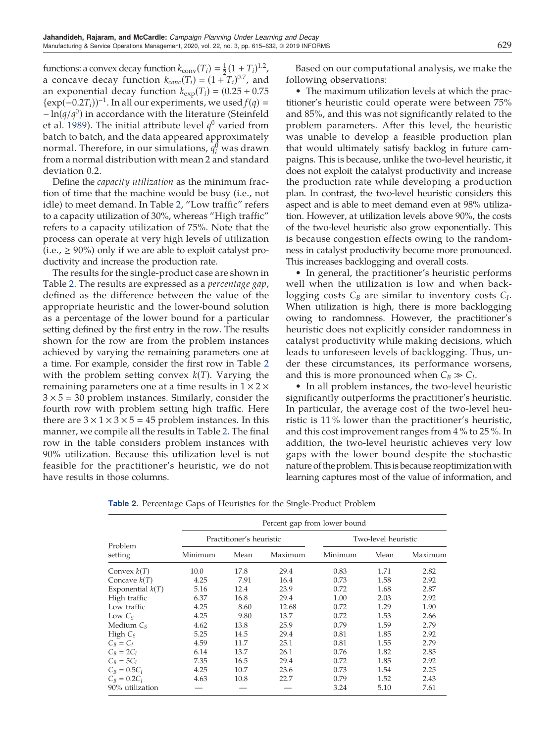functions: a convex decay function  $k_{\text{conv}}(T_i) = \frac{1}{2}(1+T_i)^{1.2}$ , a concave decay function  $k_{conc}(T_i) = (1 + T_i)^{0.7}$ , and an exponential decay function  $k_{exp}(T_i)=(0.25 + 0.75)$  $\{\exp(-0.2T_i)\}$ <sup>-1</sup>. In all our experiments, we used  $f(q)$  =  $-\ln(q/q^0)$  in accordance with the literature (Steinfeld et al. [1989\)](#page-18-23). The initial attribute level  $q^0$  varied from batch to batch, and the data appeared approximately normal. Therefore, in our simulations,  $q_i^0$  was drawn from a normal distribution with mean 2 and standard deviation 0.2.

Define the capacity utilization as the minimum fraction of time that the machine would be busy (i.e., not idle) to meet demand. In Table [2,](#page-15-0) "Low traffic" refers to a capacity utilization of 30%, whereas "High traffic" refers to a capacity utilization of 75%. Note that the process can operate at very high levels of utilization  $(i.e., \ge 90\%)$  only if we are able to exploit catalyst productivity and increase the production rate.

The results for the single-product case are shown in Table [2](#page-15-0). The results are expressed as a *percentage gap*, defined as the difference between the value of the appropriate heuristic and the lower-bound solution as a percentage of the lower bound for a particular setting defined by the first entry in the row. The results shown for the row are from the problem instances achieved by varying the remaining parameters one at a time. For example, consider the first row in Table [2](#page-15-0) with the problem setting convex  $k(T)$ . Varying the remaining parameters one at a time results in  $1 \times 2 \times$  $3 \times 5 = 30$  problem instances. Similarly, consider the fourth row with problem setting high traffic. Here there are  $3 \times 1 \times 3 \times 5 = 45$  problem instances. In this manner, we compile all the results in Table [2.](#page-15-0) The final row in the table considers problem instances with 90% utilization. Because this utilization level is not feasible for the practitioner's heuristic, we do not have results in those columns.

Based on our computational analysis, we make the following observations:

• The maximum utilization levels at which the practitioner's heuristic could operate were between 75% and 85%, and this was not significantly related to the problem parameters. After this level, the heuristic was unable to develop a feasible production plan that would ultimately satisfy backlog in future campaigns. This is because, unlike the two-level heuristic, it does not exploit the catalyst productivity and increase the production rate while developing a production plan. In contrast, the two-level heuristic considers this aspect and is able to meet demand even at 98% utilization. However, at utilization levels above 90%, the costs of the two-level heuristic also grow exponentially. This is because congestion effects owing to the randomness in catalyst productivity become more pronounced. This increases backlogging and overall costs.

• In general, the practitioner's heuristic performs well when the utilization is low and when backlogging costs  $C_B$  are similar to inventory costs  $C_I$ . When utilization is high, there is more backlogging owing to randomness. However, the practitioner's heuristic does not explicitly consider randomness in catalyst productivity while making decisions, which leads to unforeseen levels of backlogging. Thus, under these circumstances, its performance worsens, and this is more pronounced when  $C_B \gg C_I$ .

• In all problem instances, the two-level heuristic significantly outperforms the practitioner's heuristic. In particular, the average cost of the two-level heuristic is 11 % lower than the practitioner's heuristic, and this cost improvement ranges from 4 % to 25 %. In addition, the two-level heuristic achieves very low gaps with the lower bound despite the stochastic nature of the problem. This is because reoptimization with learning captures most of the value of information, and

<span id="page-15-0"></span>Table 2. Percentage Gaps of Heuristics for the Single-Product Problem

| Problem<br>setting | Percent gap from lower bound |      |         |                     |      |         |  |
|--------------------|------------------------------|------|---------|---------------------|------|---------|--|
|                    | Practitioner's heuristic     |      |         | Two-level heuristic |      |         |  |
|                    | Minimum                      | Mean | Maximum | Minimum             | Mean | Maximum |  |
| Convex $k(T)$      | 10.0                         | 17.8 | 29.4    | 0.83                | 1.71 | 2.82    |  |
| Concave $k(T)$     | 4.25                         | 7.91 | 16.4    | 0.73                | 1.58 | 2.92    |  |
| Exponential $k(T)$ | 5.16                         | 12.4 | 23.9    | 0.72                | 1.68 | 2.87    |  |
| High traffic       | 6.37                         | 16.8 | 29.4    | 1.00                | 2.03 | 2.92    |  |
| Low traffic        | 4.25                         | 8.60 | 12.68   | 0.72                | 1.29 | 1.90    |  |
| Low $C_5$          | 4.25                         | 9.80 | 13.7    | 0.72                | 1.53 | 2.66    |  |
| Medium $C_s$       | 4.62                         | 13.8 | 25.9    | 0.79                | 1.59 | 2.79    |  |
| High $C_S$         | 5.25                         | 14.5 | 29.4    | 0.81                | 1.85 | 2.92    |  |
| $C_R = C_I$        | 4.59                         | 11.7 | 25.1    | 0.81                | 1.55 | 2.79    |  |
| $C_R = 2C_I$       | 6.14                         | 13.7 | 26.1    | 0.76                | 1.82 | 2.85    |  |
| $C_R = 5C_I$       | 7.35                         | 16.5 | 29.4    | 0.72                | 1.85 | 2.92    |  |
| $C_R = 0.5C_I$     | 4.25                         | 10.7 | 23.6    | 0.73                | 1.54 | 2.25    |  |
| $C_R = 0.2 C_I$    | 4.63                         | 10.8 | 22.7    | 0.79                | 1.52 | 2.43    |  |
| 90% utilization    |                              |      |         | 3.24                | 5.10 | 7.61    |  |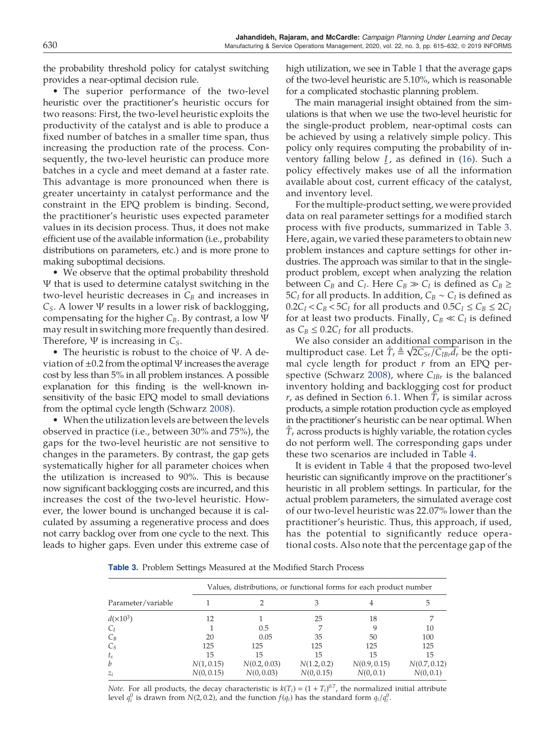the probability threshold policy for catalyst switching provides a near-optimal decision rule.

• The superior performance of the two-level heuristic over the practitioner's heuristic occurs for two reasons: First, the two-level heuristic exploits the productivity of the catalyst and is able to produce a fixed number of batches in a smaller time span, thus increasing the production rate of the process. Consequently, the two-level heuristic can produce more batches in a cycle and meet demand at a faster rate. This advantage is more pronounced when there is greater uncertainty in catalyst performance and the constraint in the EPQ problem is binding. Second, the practitioner's heuristic uses expected parameter values in its decision process. Thus, it does not make efficient use of the available information (i.e., probability distributions on parameters, etc.) and is more prone to making suboptimal decisions.

• We observe that the optimal probability threshold Ψ that is used to determine catalyst switching in the two-level heuristic decreases in  $C_B$  and increases in  $C_s$ . A lower  $\Psi$  results in a lower risk of backlogging, compensating for the higher  $C_B$ . By contrast, a low  $\Psi$ may result in switching more frequently than desired. Therefore,  $\Psi$  is increasing in  $C_S$ .

• The heuristic is robust to the choice of Ψ. A deviation of  $\pm 0.2$  from the optimal  $\Psi$  increases the average cost by less than 5% in all problem instances. A possible explanation for this finding is the well-known insensitivity of the basic EPQ model to small deviations from the optimal cycle length (Schwarz [2008\)](#page-18-28).

• When the utilization levels are between the levels observed in practice (i.e., between 30% and 75%), the gaps for the two-level heuristic are not sensitive to changes in the parameters. By contrast, the gap gets systematically higher for all parameter choices when the utilization is increased to 90%. This is because now significant backlogging costs are incurred, and this increases the cost of the two-level heuristic. However, the lower bound is unchanged because it is calculated by assuming a regenerative process and does not carry backlog over from one cycle to the next. This leads to higher gaps. Even under this extreme case of high utilization, we see in Table [1](#page-14-4) that the average gaps of the two-level heuristic are 5.10%, which is reasonable for a complicated stochastic planning problem.

The main managerial insight obtained from the simulations is that when we use the two-level heuristic for the single-product problem, near-optimal costs can be achieved by using a relatively simple policy. This policy only requires computing the probability of inventory falling below  $I<sub>i</sub>$ , as defined in ([16\)](#page-11-0). Such a policy effectively makes use of all the information available about cost, current efficacy of the catalyst, and inventory level.

For the multiple-product setting, we were provided data on real parameter settings for a modified starch process with five products, summarized in Table [3](#page-16-0). Here, again, we varied these parameters to obtain new problem instances and capture settings for other industries. The approach was similar to that in the singleproduct problem, except when analyzing the relation between  $C_B$  and  $C_I$ . Here  $C_B \gg C_I$  is defined as  $C_B \ge$ 5C<sub>I</sub> for all products. In addition,  $C_B \sim C_I$  is defined as  $0.2C_I < C_B < 5C_I$  for all products and  $0.5C_I \le C_B \le 2C_I$ for at least two products. Finally,  $C_B \ll C_I$  is defined as  $C_B \leq 0.2C_I$  for all products.

We also consider an additional comparison in the multiproduct case. Let  $\hat{T}_r \triangleq \sqrt{2C_{Sr}/C_{IBr}d_r}$  be the optimal cycle length for product  $r$  from an EPQ per-spective (Schwarz [2008\)](#page-18-28), where  $C_{IBr}$  is the balanced inventory holding and backlogging cost for product r, as defined in Section [6.1.](#page-12-4) When  $T_r$  is similar across products, a simple rotation production cycle as employed in the practitioner's heuristic can be near optimal. When  $T_r$  across products is highly variable, the rotation cycles do not perform well. The corresponding gaps under these two scenarios are included in Table [4](#page-17-1).

It is evident in Table [4](#page-17-1) that the proposed two-level heuristic can significantly improve on the practitioner's heuristic in all problem settings. In particular, for the actual problem parameters, the simulated average cost of our two-level heuristic was 22.07% lower than the practitioner's heuristic. Thus, this approach, if used, has the potential to significantly reduce operational costs. Also note that the percentage gap of the

<span id="page-16-0"></span>**Table 3.** Problem Settings Measured at the Modified Starch Process

|                    | Values, distributions, or functional forms for each product number |              |             |              |              |  |  |
|--------------------|--------------------------------------------------------------------|--------------|-------------|--------------|--------------|--|--|
| Parameter/variable |                                                                    |              |             |              |              |  |  |
| $d(\times 10^3)$   | 12                                                                 |              | 25          | 18           |              |  |  |
| $C_I$              |                                                                    | 0.5          |             |              | 10           |  |  |
| $C_B$              | 20                                                                 | 0.05         | 35          | 50           | 100          |  |  |
| $C_S$              | 125                                                                | 125          | 125         | 125          | 125          |  |  |
| $t_{\rm s}$        | 15                                                                 | 15           | 15          | 15           | 15           |  |  |
| $\boldsymbol{b}$   | N(1, 0.15)                                                         | N(0.2, 0.03) | N(1.2, 0.2) | N(0.9, 0.15) | N(0.7, 0.12) |  |  |
| $z_i$              | N(0, 0.15)                                                         | N(0, 0.03)   | N(0, 0.15)  | N(0, 0.1)    | N(0, 0.1)    |  |  |

*Note.* For all products, the decay characteristic is  $k(T_i) = (1 + T_i)^{0.7}$ , the normalized initial attribute level  $q_i^0$  is drawn from  $N(2, 0.2)$ , and the function  $f(q_i)$  has the standard form  $q_i/q_i^0$ .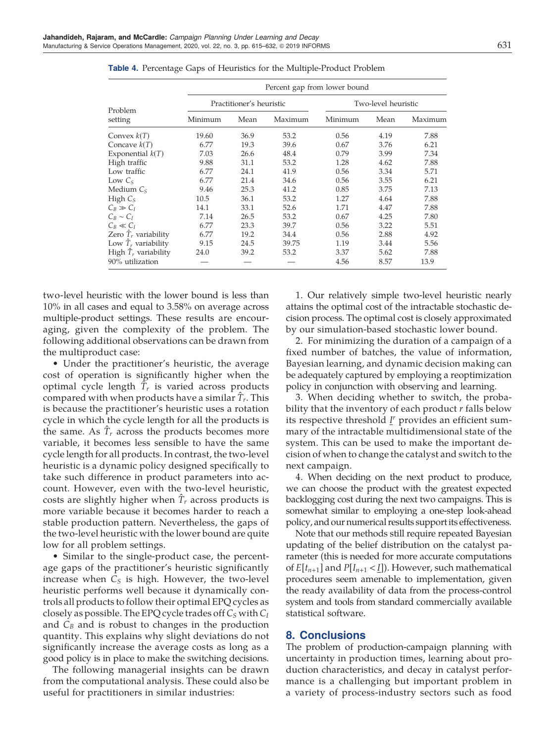|                              | Percent gap from lower bound |      |         |                     |      |         |
|------------------------------|------------------------------|------|---------|---------------------|------|---------|
| Problem<br>setting           | Practitioner's heuristic     |      |         | Two-level heuristic |      |         |
|                              | Minimum                      | Mean | Maximum | Minimum             | Mean | Maximum |
| Convex $k(T)$                | 19.60                        | 36.9 | 53.2    | 0.56                | 4.19 | 7.88    |
| Concave $k(T)$               | 6.77                         | 19.3 | 39.6    | 0.67                | 3.76 | 6.21    |
| Exponential $k(T)$           | 7.03                         | 26.6 | 48.4    | 0.79                | 3.99 | 7.34    |
| High traffic                 | 9.88                         | 31.1 | 53.2    | 1.28                | 4.62 | 7.88    |
| Low traffic                  | 6.77                         | 24.1 | 41.9    | 0.56                | 3.34 | 5.71    |
| Low $C_s$                    | 6.77                         | 21.4 | 34.6    | 0.56                | 3.55 | 6.21    |
| Medium $C_s$                 | 9.46                         | 25.3 | 41.2    | 0.85                | 3.75 | 7.13    |
| High $C_S$                   | 10.5                         | 36.1 | 53.2    | 1.27                | 4.64 | 7.88    |
| $C_B \gg C_I$                | 14.1                         | 33.1 | 52.6    | 1.71                | 4.47 | 7.88    |
| $C_R \sim C_I$               | 7.14                         | 26.5 | 53.2    | 0.67                | 4.25 | 7.80    |
| $C_R \ll C_I$                | 6.77                         | 23.3 | 39.7    | 0.56                | 3.22 | 5.51    |
| Zero $\hat{T}_r$ variability | 6.77                         | 19.2 | 34.4    | 0.56                | 2.88 | 4.92    |
| Low $T_r$ variability        | 9.15                         | 24.5 | 39.75   | 1.19                | 3.44 | 5.56    |
| High $T_r$ variability       | 24.0                         | 39.2 | 53.2    | 3.37                | 5.62 | 7.88    |
| 90% utilization              |                              |      |         | 4.56                | 8.57 | 13.9    |

<span id="page-17-1"></span>Table 4. Percentage Gaps of Heuristics for the Multiple-Product Problem

two-level heuristic with the lower bound is less than 10% in all cases and equal to 3.58% on average across multiple-product settings. These results are encouraging, given the complexity of the problem. The following additional observations can be drawn from the multiproduct case:

• Under the practitioner's heuristic, the average cost of operation is significantly higher when the optimal cycle length  $T_r$  is varied across products compared with when products have a similar  $T_r$ . This is because the practitioner's heuristic uses a rotation cycle in which the cycle length for all the products is the same. As  $T<sub>r</sub>$  across the products becomes more variable, it becomes less sensible to have the same cycle length for all products. In contrast, the two-level heuristic is a dynamic policy designed specifically to take such difference in product parameters into account. However, even with the two-level heuristic, costs are slightly higher when  $T_r$  across products is more variable because it becomes harder to reach a stable production pattern. Nevertheless, the gaps of the two-level heuristic with the lower bound are quite low for all problem settings.

• Similar to the single-product case, the percentage gaps of the practitioner's heuristic significantly increase when  $C_S$  is high. However, the two-level heuristic performs well because it dynamically controls all products to follow their optimal EPQ cycles as closely as possible. The EPQ cycle trades off  $C_S$  with  $C_I$ and  $C_B$  and is robust to changes in the production quantity. This explains why slight deviations do not significantly increase the average costs as long as a good policy is in place to make the switching decisions.

The following managerial insights can be drawn from the computational analysis. These could also be useful for practitioners in similar industries:

1. Our relatively simple two-level heuristic nearly attains the optimal cost of the intractable stochastic decision process. The optimal cost is closely approximated by our simulation-based stochastic lower bound.

2. For minimizing the duration of a campaign of a fixed number of batches, the value of information, Bayesian learning, and dynamic decision making can be adequately captured by employing a reoptimization policy in conjunction with observing and learning.

3. When deciding whether to switch, the probability that the inventory of each product  $r$  falls below its respective threshold  $I<sup>r</sup>$  provides an efficient summary of the intractable multidimensional state of the system. This can be used to make the important decision of when to change the catalyst and switch to the next campaign.

4. When deciding on the next product to produce, we can choose the product with the greatest expected backlogging cost during the next two campaigns. This is somewhat similar to employing a one-step look-ahead policy, and our numerical results support its effectiveness.

Note that our methods still require repeated Bayesian updating of the belief distribution on the catalyst parameter (this is needed for more accurate computations of  $E[t_{n+1}]$  and  $P[I_{n+1} < I]$ ). However, such mathematical procedures seem amenable to implementation, given the ready availability of data from the process-control system and tools from standard commercially available statistical software.

#### <span id="page-17-0"></span>8. Conclusions

The problem of production-campaign planning with uncertainty in production times, learning about production characteristics, and decay in catalyst performance is a challenging but important problem in a variety of process-industry sectors such as food